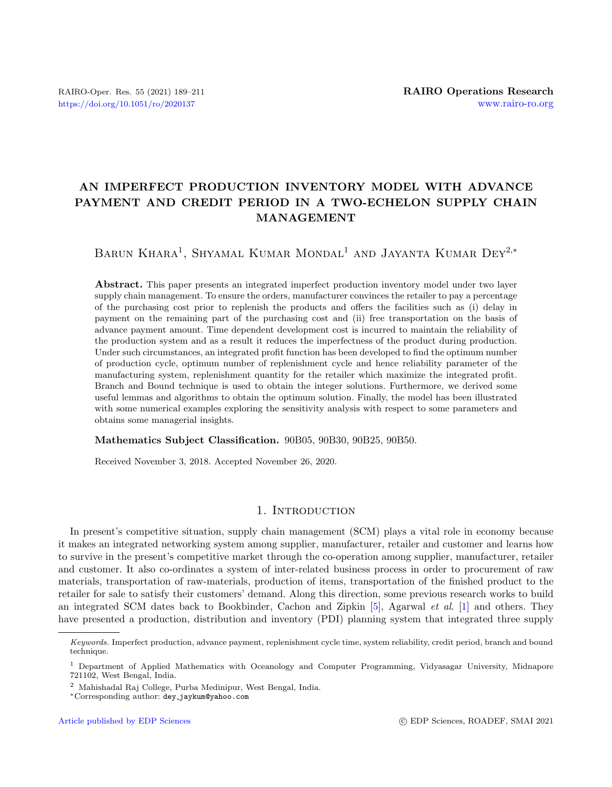# AN IMPERFECT PRODUCTION INVENTORY MODEL WITH ADVANCE PAYMENT AND CREDIT PERIOD IN A TWO-ECHELON SUPPLY CHAIN MANAGEMENT

BARUN KHARA<sup>1</sup>, SHYAMAL KUMAR MONDAL<sup>1</sup> AND JAYANTA KUMAR DEY<sup>2,\*</sup>

Abstract. This paper presents an integrated imperfect production inventory model under two layer supply chain management. To ensure the orders, manufacturer convinces the retailer to pay a percentage of the purchasing cost prior to replenish the products and offers the facilities such as (i) delay in payment on the remaining part of the purchasing cost and (ii) free transportation on the basis of advance payment amount. Time dependent development cost is incurred to maintain the reliability of the production system and as a result it reduces the imperfectness of the product during production. Under such circumstances, an integrated profit function has been developed to find the optimum number of production cycle, optimum number of replenishment cycle and hence reliability parameter of the manufacturing system, replenishment quantity for the retailer which maximize the integrated profit. Branch and Bound technique is used to obtain the integer solutions. Furthermore, we derived some useful lemmas and algorithms to obtain the optimum solution. Finally, the model has been illustrated with some numerical examples exploring the sensitivity analysis with respect to some parameters and obtains some managerial insights.

Mathematics Subject Classification. 90B05, 90B30, 90B25, 90B50.

Received November 3, 2018. Accepted November 26, 2020.

# 1. INTRODUCTION

In present's competitive situation, supply chain management (SCM) plays a vital role in economy because it makes an integrated networking system among supplier, manufacturer, retailer and customer and learns how to survive in the present's competitive market through the co-operation among supplier, manufacturer, retailer and customer. It also co-ordinates a system of inter-related business process in order to procurement of raw materials, transportation of raw-materials, production of items, transportation of the finished product to the retailer for sale to satisfy their customers' demand. Along this direction, some previous research works to build an integrated SCM dates back to Bookbinder, Cachon and Zipkin [\[5\]](#page-20-0), Agarwal et al. [\[1\]](#page-20-1) and others. They have presented a production, distribution and inventory (PDI) planning system that integrated three supply

Keywords. Imperfect production, advance payment, replenishment cycle time, system reliability, credit period, branch and bound technique.

<sup>1</sup> Department of Applied Mathematics with Oceanology and Computer Programming, Vidyasagar University, Midnapore 721102, West Bengal, India.

<sup>2</sup> Mahishadal Raj College, Purba Medinipur, West Bengal, India.

<sup>∗</sup>Corresponding author: dey [jaykum@yahoo.com](mailto:dey_jaykum@yahoo.com)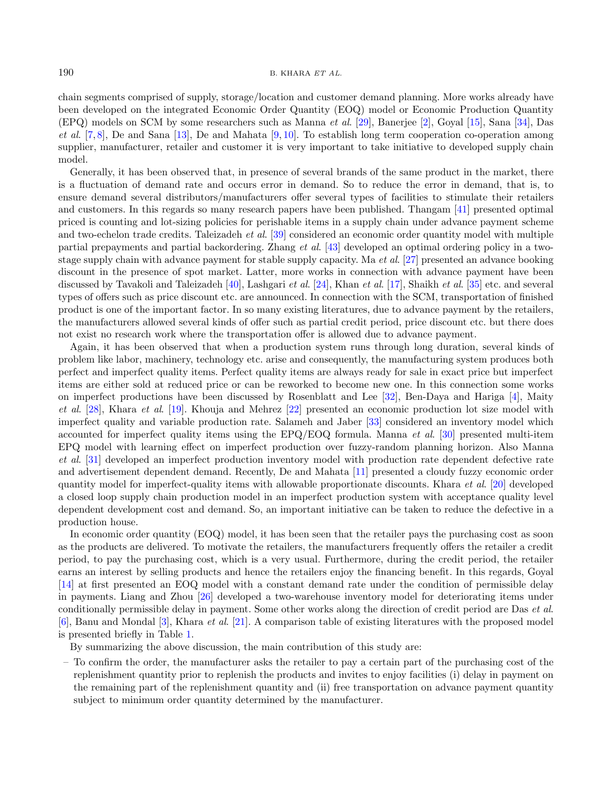#### $190$  B. KHARA ET AL.

chain segments comprised of supply, storage/location and customer demand planning. More works already have been developed on the integrated Economic Order Quantity (EOQ) model or Economic Production Quantity (EPQ) models on SCM by some researchers such as Manna et al. [\[29\]](#page-21-0), Banerjee [\[2\]](#page-20-2), Goyal [\[15\]](#page-21-1), Sana [\[34\]](#page-21-2), Das et al.  $[7, 8]$  $[7, 8]$  $[7, 8]$ , De and Sana [\[13\]](#page-21-4), De and Mahata [\[9,](#page-21-5) [10\]](#page-21-6). To establish long term cooperation co-operation among supplier, manufacturer, retailer and customer it is very important to take initiative to developed supply chain model.

Generally, it has been observed that, in presence of several brands of the same product in the market, there is a fluctuation of demand rate and occurs error in demand. So to reduce the error in demand, that is, to ensure demand several distributors/manufacturers offer several types of facilities to stimulate their retailers and customers. In this regards so many research papers have been published. Thangam [\[41\]](#page-22-0) presented optimal priced is counting and lot-sizing policies for perishable items in a supply chain under advance payment scheme and two-echelon trade credits. Taleizadeh et al. [\[39\]](#page-21-7) considered an economic order quantity model with multiple partial prepayments and partial backordering. Zhang et al. [\[43\]](#page-22-1) developed an optimal ordering policy in a twostage supply chain with advance payment for stable supply capacity. Ma et al. [\[27\]](#page-21-8) presented an advance booking discount in the presence of spot market. Latter, more works in connection with advance payment have been discussed by Tavakoli and Taleizadeh [\[40\]](#page-22-2), Lashgari et al. [\[24\]](#page-21-9), Khan et al. [\[17\]](#page-21-10), Shaikh et al. [\[35\]](#page-21-11) etc. and several types of offers such as price discount etc. are announced. In connection with the SCM, transportation of finished product is one of the important factor. In so many existing literatures, due to advance payment by the retailers, the manufacturers allowed several kinds of offer such as partial credit period, price discount etc. but there does not exist no research work where the transportation offer is allowed due to advance payment.

Again, it has been observed that when a production system runs through long duration, several kinds of problem like labor, machinery, technology etc. arise and consequently, the manufacturing system produces both perfect and imperfect quality items. Perfect quality items are always ready for sale in exact price but imperfect items are either sold at reduced price or can be reworked to become new one. In this connection some works on imperfect productions have been discussed by Rosenblatt and Lee [\[32\]](#page-21-12), Ben-Daya and Hariga [\[4\]](#page-20-4), Maity et al. [\[28\]](#page-21-13), Khara et al. [\[19\]](#page-21-14). Khouja and Mehrez [\[22\]](#page-21-15) presented an economic production lot size model with imperfect quality and variable production rate. Salameh and Jaber [\[33\]](#page-21-16) considered an inventory model which accounted for imperfect quality items using the  $E\text{PQ/EOQ}$  formula. Manna *et al.* [\[30\]](#page-21-17) presented multi-item EPQ model with learning effect on imperfect production over fuzzy-random planning horizon. Also Manna et al. [\[31\]](#page-21-18) developed an imperfect production inventory model with production rate dependent defective rate and advertisement dependent demand. Recently, De and Mahata [\[11\]](#page-21-19) presented a cloudy fuzzy economic order quantity model for imperfect-quality items with allowable proportionate discounts. Khara et al. [\[20\]](#page-21-20) developed a closed loop supply chain production model in an imperfect production system with acceptance quality level dependent development cost and demand. So, an important initiative can be taken to reduce the defective in a production house.

In economic order quantity (EOQ) model, it has been seen that the retailer pays the purchasing cost as soon as the products are delivered. To motivate the retailers, the manufacturers frequently offers the retailer a credit period, to pay the purchasing cost, which is a very usual. Furthermore, during the credit period, the retailer earns an interest by selling products and hence the retailers enjoy the financing benefit. In this regards, Goyal [\[14\]](#page-21-21) at first presented an EOQ model with a constant demand rate under the condition of permissible delay in payments. Liang and Zhou [\[26\]](#page-21-22) developed a two-warehouse inventory model for deteriorating items under conditionally permissible delay in payment. Some other works along the direction of credit period are Das et al. [\[6\]](#page-20-5), Banu and Mondal [\[3\]](#page-20-6), Khara et al. [\[21\]](#page-21-23). A comparison table of existing literatures with the proposed model is presented briefly in Table [1.](#page-2-0)

By summarizing the above discussion, the main contribution of this study are:

– To confirm the order, the manufacturer asks the retailer to pay a certain part of the purchasing cost of the replenishment quantity prior to replenish the products and invites to enjoy facilities (i) delay in payment on the remaining part of the replenishment quantity and (ii) free transportation on advance payment quantity subject to minimum order quantity determined by the manufacturer.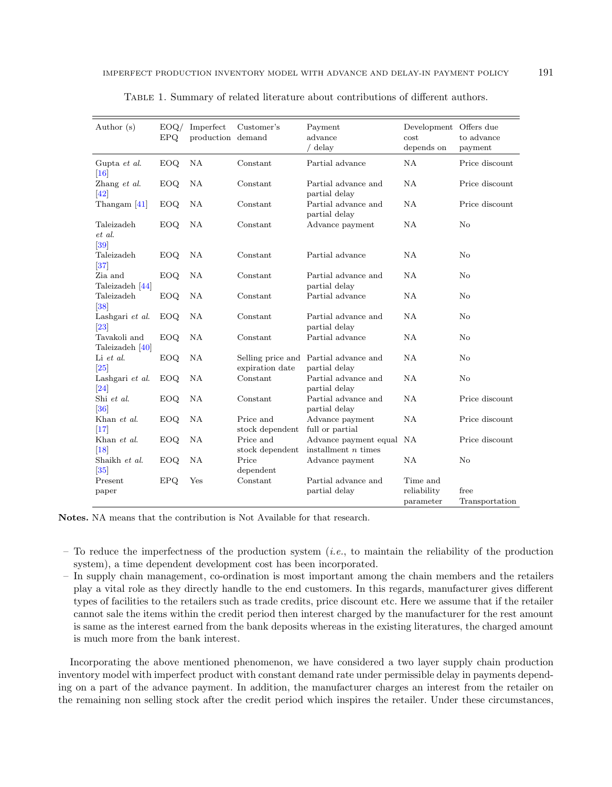| Author (s)                             | EOQ/<br>EPQ. | Imperfect<br>production demand | Customer's                   | Payment<br>advance<br>delay                            | Development Offers due<br>cost<br>depends on | to advance<br>payment  |
|----------------------------------------|--------------|--------------------------------|------------------------------|--------------------------------------------------------|----------------------------------------------|------------------------|
| Gupta et al.<br>$\vert 16 \vert$       | <b>EOQ</b>   | NA                             | Constant                     | Partial advance                                        | NA                                           | Price discount         |
| Zhang et al.<br> 42                    | EOQ.         | NA                             | Constant                     | Partial advance and<br>partial delay                   | NA                                           | Price discount         |
| Thangam $[41]$                         | <b>EOQ</b>   | NA                             | Constant                     | Partial advance and<br>partial delay                   | NA                                           | Price discount         |
| Taleizadeh<br>et al.<br> 39            | <b>EOQ</b>   | NA                             | Constant                     | Advance payment                                        | <b>NA</b>                                    | N <sub>o</sub>         |
| Taleizadeh<br> 37                      | EOQ          | <b>NA</b>                      | Constant                     | Partial advance                                        | NA                                           | No                     |
| Zia and<br>Taleizadeh [44]             | <b>EOQ</b>   | NA                             | Constant                     | Partial advance and<br>partial delay                   | NA                                           | N <sub>o</sub>         |
| Taleizadeh<br>$[38]$                   | <b>EOQ</b>   | NA                             | Constant                     | Partial advance                                        | <b>NA</b>                                    | N <sub>o</sub>         |
| Lashgari et al.<br>$\left 23\right $   | <b>EOQ</b>   | <b>NA</b>                      | Constant                     | Partial advance and<br>partial delay                   | <b>NA</b>                                    | No                     |
| Tavakoli and<br>Taleizadeh [40]        | EOQ.         | <b>NA</b>                      | Constant                     | Partial advance                                        | NA                                           | No                     |
| Li et al.<br>$\vert 25 \vert$          | EOQ.         | NA                             | expiration date              | Selling price and Partial advance and<br>partial delay | NA                                           | $\rm No$               |
| Lashgari et al.<br>$\left  24 \right $ | <b>EOQ</b>   | NA                             | Constant                     | Partial advance and<br>partial delay                   | NA                                           | No                     |
| Shi et al.<br>[36]                     | <b>EOQ</b>   | NA                             | Constant                     | Partial advance and<br>partial delay                   | <b>NA</b>                                    | Price discount         |
| Khan et al.<br> 17                     | <b>EOQ</b>   | <b>NA</b>                      | Price and<br>stock dependent | Advance payment<br>full or partial                     | NA                                           | Price discount         |
| Khan et al.<br>$[18]$                  | <b>EOQ</b>   | NA                             | Price and<br>stock dependent | Advance payment equal NA<br>installment $n$ times      |                                              | Price discount         |
| Shaikh et al.<br> 35                   | <b>EOQ</b>   | NA                             | Price<br>dependent           | Advance payment                                        | NA                                           | N <sub>o</sub>         |
| Present<br>paper                       | <b>EPQ</b>   | Yes                            | Constant                     | Partial advance and<br>partial delay                   | Time and<br>reliability<br>parameter         | free<br>Transportation |

<span id="page-2-0"></span>

|  |  |  |  |  | TABLE 1. Summary of related literature about contributions of different authors. |  |  |
|--|--|--|--|--|----------------------------------------------------------------------------------|--|--|
|--|--|--|--|--|----------------------------------------------------------------------------------|--|--|

Notes. NA means that the contribution is Not Available for that research.

- To reduce the imperfectness of the production system (*i.e.*, to maintain the reliability of the production system), a time dependent development cost has been incorporated.
- In supply chain management, co-ordination is most important among the chain members and the retailers play a vital role as they directly handle to the end customers. In this regards, manufacturer gives different types of facilities to the retailers such as trade credits, price discount etc. Here we assume that if the retailer cannot sale the items within the credit period then interest charged by the manufacturer for the rest amount is same as the interest earned from the bank deposits whereas in the existing literatures, the charged amount is much more from the bank interest.

Incorporating the above mentioned phenomenon, we have considered a two layer supply chain production inventory model with imperfect product with constant demand rate under permissible delay in payments depending on a part of the advance payment. In addition, the manufacturer charges an interest from the retailer on the remaining non selling stock after the credit period which inspires the retailer. Under these circumstances,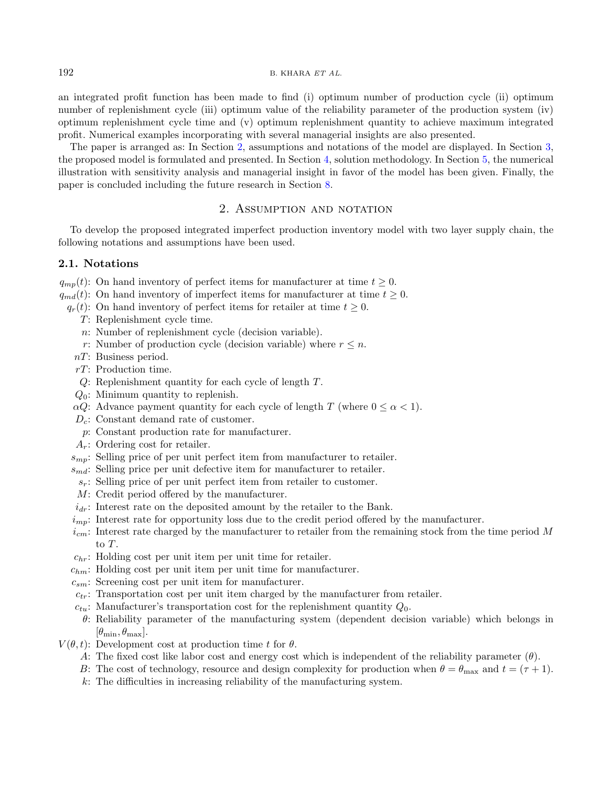an integrated profit function has been made to find (i) optimum number of production cycle (ii) optimum number of replenishment cycle (iii) optimum value of the reliability parameter of the production system (iv) optimum replenishment cycle time and (v) optimum replenishment quantity to achieve maximum integrated profit. Numerical examples incorporating with several managerial insights are also presented.

The paper is arranged as: In Section [2,](#page-3-0) assumptions and notations of the model are displayed. In Section [3,](#page-6-0) the proposed model is formulated and presented. In Section [4,](#page-12-0) solution methodology. In Section [5,](#page-14-0) the numerical illustration with sensitivity analysis and managerial insight in favor of the model has been given. Finally, the paper is concluded including the future research in Section [8.](#page-20-7)

# 2. ASSUMPTION AND NOTATION

<span id="page-3-0"></span>To develop the proposed integrated imperfect production inventory model with two layer supply chain, the following notations and assumptions have been used.

# 2.1. Notations

 $q_{mn}(t)$ : On hand inventory of perfect items for manufacturer at time  $t \geq 0$ .

- $q_{md}(t)$ : On hand inventory of imperfect items for manufacturer at time  $t \geq 0$ .
	- $q_r(t)$ : On hand inventory of perfect items for retailer at time  $t \geq 0$ .
		- T: Replenishment cycle time.
		- n: Number of replenishment cycle (decision variable).
		- r: Number of production cycle (decision variable) where  $r \leq n$ .
		- nT: Business period.
		- rT: Production time.
		- Q: Replenishment quantity for each cycle of length T.
		- $Q_0$ : Minimum quantity to replenish.
		- $\alpha Q$ : Advance payment quantity for each cycle of length T (where  $0 \leq \alpha < 1$ ).
		- $D_c$ : Constant demand rate of customer.
		- p: Constant production rate for manufacturer.
		- $A_r$ : Ordering cost for retailer.
	- $s_{mn}$ : Selling price of per unit perfect item from manufacturer to retailer.
	- $s_{md}$ : Selling price per unit defective item for manufacturer to retailer.
	- $s_r$ : Selling price of per unit perfect item from retailer to customer.
	- M: Credit period offered by the manufacturer.
	- $i_{dr}$ : Interest rate on the deposited amount by the retailer to the Bank.
	- $i_{mn}$ : Interest rate for opportunity loss due to the credit period offered by the manufacturer.
	- $i_{cm}$ : Interest rate charged by the manufacturer to retailer from the remaining stock from the time period M to T.
	- $c_{hr}$ : Holding cost per unit item per unit time for retailer.
	- $c_{hm}$ : Holding cost per unit item per unit time for manufacturer.
	- $c_{sm}$ : Screening cost per unit item for manufacturer.
	- $c_{tr}$ : Transportation cost per unit item charged by the manufacturer from retailer.
	- $c_{tu}$ : Manufacturer's transportation cost for the replenishment quantity  $Q_0$ .
	- θ: Reliability parameter of the manufacturing system (dependent decision variable) which belongs in  $[\theta_{\min}, \theta_{\max}].$
- $V(\theta, t)$ : Development cost at production time t for  $\theta$ .
	- A: The fixed cost like labor cost and energy cost which is independent of the reliability parameter  $(\theta)$ .
	- B: The cost of technology, resource and design complexity for production when  $\theta = \theta_{\text{max}}$  and  $t = (\tau + 1)$ .
	- k: The difficulties in increasing reliability of the manufacturing system.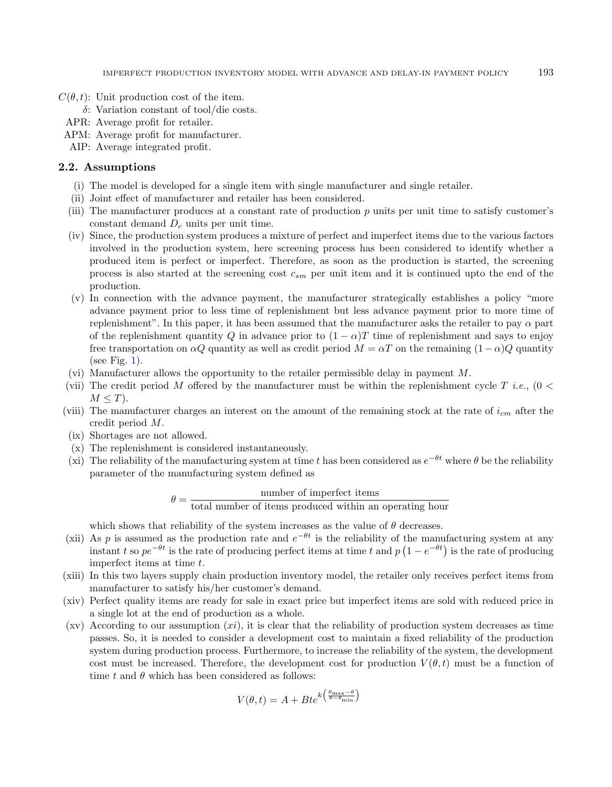- $C(\theta, t)$ : Unit production cost of the item.
	- δ: Variation constant of tool/die costs.
	- APR: Average profit for retailer.
- APM: Average profit for manufacturer.
- AIP: Average integrated profit.

### 2.2. Assumptions

- (i) The model is developed for a single item with single manufacturer and single retailer.
- (ii) Joint effect of manufacturer and retailer has been considered.
- (iii) The manufacturer produces at a constant rate of production  $p$  units per unit time to satisfy customer's constant demand  $D<sub>c</sub>$  units per unit time.
- (iv) Since, the production system produces a mixture of perfect and imperfect items due to the various factors involved in the production system, here screening process has been considered to identify whether a produced item is perfect or imperfect. Therefore, as soon as the production is started, the screening process is also started at the screening cost  $c_{sm}$  per unit item and it is continued upto the end of the production.
- (v) In connection with the advance payment, the manufacturer strategically establishes a policy "more advance payment prior to less time of replenishment but less advance payment prior to more time of replenishment". In this paper, it has been assumed that the manufacturer asks the retailer to pay  $\alpha$  part of the replenishment quantity Q in advance prior to  $(1 - \alpha)T$  time of replenishment and says to enjoy free transportation on  $\alpha Q$  quantity as well as credit period  $M = \alpha T$  on the remaining  $(1 - \alpha)Q$  quantity (see Fig. [1\)](#page-5-0).
- (vi) Manufacturer allows the opportunity to the retailer permissible delay in payment M.
- (vii) The credit period M offered by the manufacturer must be within the replenishment cycle T i.e.,  $(0 <$  $M \leq T$ ).
- (viii) The manufacturer charges an interest on the amount of the remaining stock at the rate of  $i_{cm}$  after the credit period M.
- (ix) Shortages are not allowed.
- (x) The replenishment is considered instantaneously.
- (xi) The reliability of the manufacturing system at time t has been considered as  $e^{-\theta t}$  where  $\theta$  be the reliability parameter of the manufacturing system defined as

 $\theta = \frac{\text{number of imperfect items}}{\left(\frac{1}{2}\right)^{1/2}}$ total number of items produced within an operating hour

which shows that reliability of the system increases as the value of  $\theta$  decreases.

- (xii) As p is assumed as the production rate and  $e^{-\theta t}$  is the reliability of the manufacturing system at any instant t so  $pe^{-\theta t}$  is the rate of producing perfect items at time t and  $p(1 - e^{-\theta t})$  is the rate of producing imperfect items at time t.
- (xiii) In this two layers supply chain production inventory model, the retailer only receives perfect items from manufacturer to satisfy his/her customer's demand.
- (xiv) Perfect quality items are ready for sale in exact price but imperfect items are sold with reduced price in a single lot at the end of production as a whole.
- $(xv)$  According to our assumption  $(xi)$ , it is clear that the reliability of production system decreases as time passes. So, it is needed to consider a development cost to maintain a fixed reliability of the production system during production process. Furthermore, to increase the reliability of the system, the development cost must be increased. Therefore, the development cost for production  $V(\theta, t)$  must be a function of time t and  $\theta$  which has been considered as follows:

$$
V(\theta, t) = A + Bte^{k\left(\frac{\theta_{\text{max}} - \theta}{\theta - \theta_{\text{min}}}\right)}
$$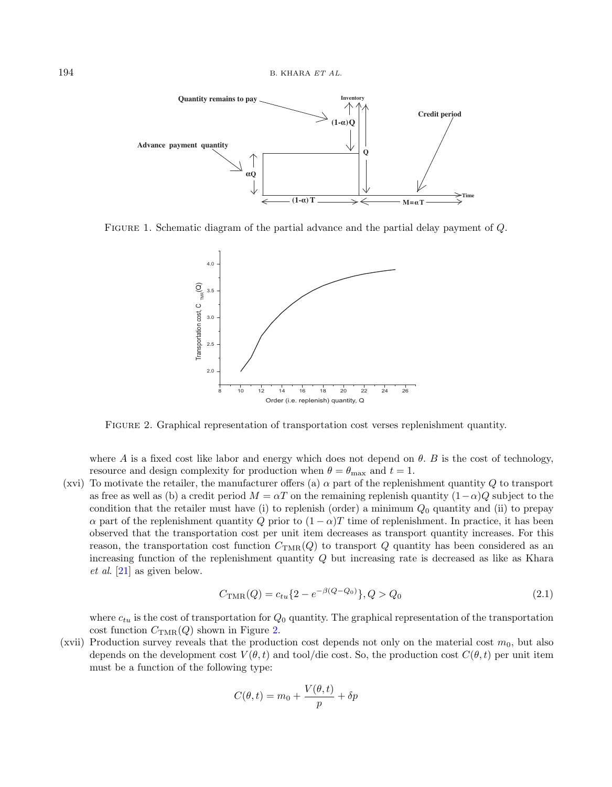<span id="page-5-0"></span>

Figure 1. Schematic diagram of the partial advance and the partial delay payment of Q.

<span id="page-5-1"></span>

Figure 2. Graphical representation of transportation cost verses replenishment quantity.

where A is a fixed cost like labor and energy which does not depend on  $\theta$ . B is the cost of technology, resource and design complexity for production when  $\theta = \theta_{\text{max}}$  and  $t = 1$ .

(xvi) To motivate the retailer, the manufacturer offers (a)  $\alpha$  part of the replenishment quantity Q to transport as free as well as (b) a credit period  $M = \alpha T$  on the remaining replenish quantity  $(1-\alpha)Q$  subject to the condition that the retailer must have (i) to replenish (order) a minimum  $Q_0$  quantity and (ii) to prepay  $\alpha$  part of the replenishment quantity Q prior to  $(1 - \alpha)T$  time of replenishment. In practice, it has been observed that the transportation cost per unit item decreases as transport quantity increases. For this reason, the transportation cost function  $C_{\text{TMR}}(Q)$  to transport Q quantity has been considered as an increasing function of the replenishment quantity Q but increasing rate is decreased as like as Khara et al. [\[21\]](#page-21-23) as given below.

$$
C_{\text{TMR}}(Q) = c_{tu} \{ 2 - e^{-\beta(Q - Q_0)} \}, Q > Q_0 \tag{2.1}
$$

where  $c_{tu}$  is the cost of transportation for  $Q_0$  quantity. The graphical representation of the transportation cost function  $C_{\text{TMR}}(Q)$  shown in Figure [2.](#page-5-1)

(xvii) Production survey reveals that the production cost depends not only on the material cost  $m_0$ , but also depends on the development cost  $V(\theta, t)$  and tool/die cost. So, the production cost  $C(\theta, t)$  per unit item must be a function of the following type:

$$
C(\theta, t) = m_0 + \frac{V(\theta, t)}{p} + \delta p
$$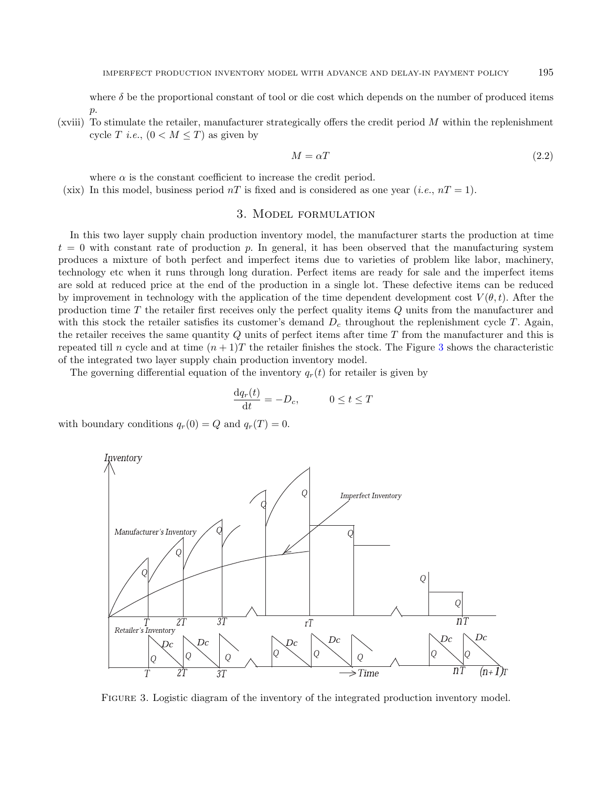where  $\delta$  be the proportional constant of tool or die cost which depends on the number of produced items  $p$ .

(xviii) To stimulate the retailer, manufacturer strategically offers the credit period  $M$  within the replenishment cycle T *i.e.*,  $(0 < M \leq T)$  as given by

$$
M = \alpha T \tag{2.2}
$$

where  $\alpha$  is the constant coefficient to increase the credit period.

<span id="page-6-0"></span>(xix) In this model, business period  $nT$  is fixed and is considered as one year (*i.e.*,  $nT = 1$ ).

# 3. Model formulation

In this two layer supply chain production inventory model, the manufacturer starts the production at time  $t = 0$  with constant rate of production p. In general, it has been observed that the manufacturing system produces a mixture of both perfect and imperfect items due to varieties of problem like labor, machinery, technology etc when it runs through long duration. Perfect items are ready for sale and the imperfect items are sold at reduced price at the end of the production in a single lot. These defective items can be reduced by improvement in technology with the application of the time dependent development cost  $V(\theta, t)$ . After the production time T the retailer first receives only the perfect quality items Q units from the manufacturer and with this stock the retailer satisfies its customer's demand  $D_c$  throughout the replenishment cycle T. Again, the retailer receives the same quantity Q units of perfect items after time T from the manufacturer and this is repeated till n cycle and at time  $(n+1)T$  the retailer finishes the stock. The Figure [3](#page-6-1) shows the characteristic of the integrated two layer supply chain production inventory model.

The governing differential equation of the inventory  $q_r(t)$  for retailer is given by

$$
\frac{\mathrm{d}q_r(t)}{\mathrm{d}t} = -D_c, \qquad 0 \le t \le T
$$

with boundary conditions  $q_r(0) = Q$  and  $q_r(T) = 0$ .

<span id="page-6-1"></span>

FIGURE 3. Logistic diagram of the inventory of the integrated production inventory model.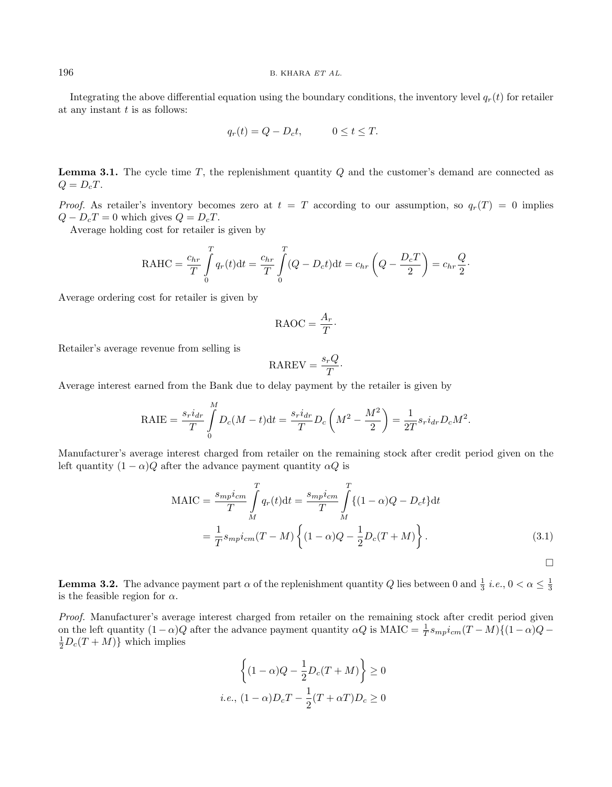#### $196$  B. KHARA ET AL.

Integrating the above differential equation using the boundary conditions, the inventory level  $q_r(t)$  for retailer at any instant  $t$  is as follows:

$$
q_r(t) = Q - D_c t, \qquad 0 \le t \le T.
$$

**Lemma 3.1.** The cycle time T, the replenishment quantity  $Q$  and the customer's demand are connected as  $Q = D_cT$ .

*Proof.* As retailer's inventory becomes zero at  $t = T$  according to our assumption, so  $q_r(T) = 0$  implies  $Q - D_cT = 0$  which gives  $Q = D_cT$ .

Average holding cost for retailer is given by

$$
\text{RAHC} = \frac{c_{hr}}{T} \int\limits_0^T q_r(t) \mathrm{d}t = \frac{c_{hr}}{T} \int\limits_0^T (Q - D_c t) \mathrm{d}t = c_{hr} \left( Q - \frac{D_c T}{2} \right) = c_{hr} \frac{Q}{2}.
$$

Average ordering cost for retailer is given by

$$
\text{RAOC} = \frac{A_r}{T}.
$$

Retailer's average revenue from selling is

$$
RAREV = \frac{s_r Q}{T}.
$$

Average interest earned from the Bank due to delay payment by the retailer is given by

RAIE = 
$$
\frac{s_r i_{dr}}{T} \int_{0}^{M} D_c(M-t) dt = \frac{s_r i_{dr}}{T} D_c(M^2 - \frac{M^2}{2}) = \frac{1}{2T} s_r i_{dr} D_c M^2.
$$

Manufacturer's average interest charged from retailer on the remaining stock after credit period given on the left quantity  $(1 - \alpha)Q$  after the advance payment quantity  $\alpha Q$  is

$$
MAIC = \frac{s_{mp}i_{cm}}{T} \int_{M}^{T} q_r(t)dt = \frac{s_{mp}i_{cm}}{T} \int_{M}^{T} \{(1 - \alpha)Q - D_c t\}dt
$$

$$
= \frac{1}{T} s_{mp}i_{cm}(T - M) \left\{ (1 - \alpha)Q - \frac{1}{2}D_c(T + M) \right\}.
$$
(3.1)

 $\Box$ 

<span id="page-7-1"></span>**Lemma 3.2.** The advance payment part  $\alpha$  of the replenishment quantity Q lies between 0 and  $\frac{1}{3}$  *i.e.*,  $0 < \alpha \leq \frac{1}{3}$ is the feasible region for  $\alpha$ .

Proof. Manufacturer's average interest charged from retailer on the remaining stock after credit period given on the left quantity  $(1 - \alpha)Q$  after the advance payment quantity  $\alpha Q$  is MAIC =  $\frac{1}{T} s_{mp} i_{cm} (T - M) \{(1 - \alpha)Q \frac{1}{2}D_c(T+M)$ } which implies

<span id="page-7-0"></span>
$$
\left\{ (1 - \alpha)Q - \frac{1}{2}D_c(T + M) \right\} \ge 0
$$
  
*i.e.*,  $(1 - \alpha)D_cT - \frac{1}{2}(T + \alpha T)D_c \ge 0$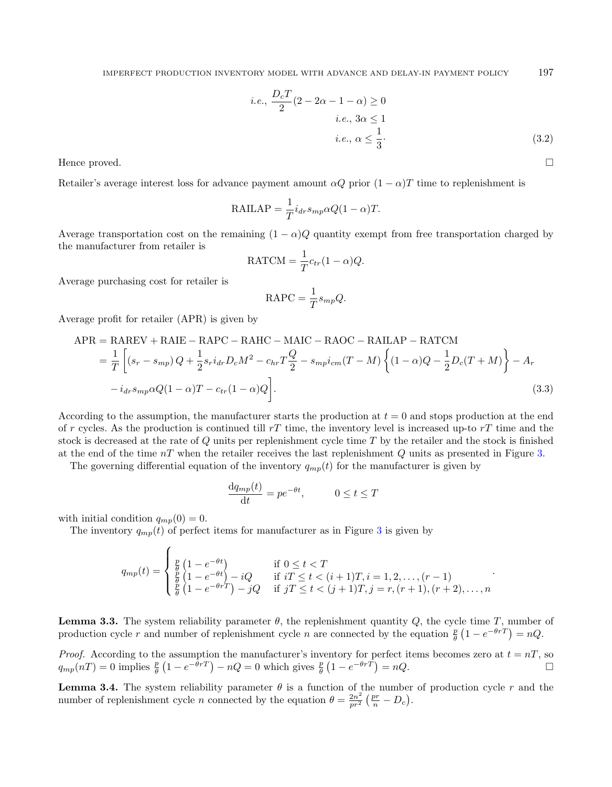i.e., 
$$
\frac{D_c T}{2} (2 - 2\alpha - 1 - \alpha) \ge 0
$$
  
i.e.,  $3\alpha \le 1$   
i.e.,  $\alpha \le \frac{1}{3}$ . (3.2)

.

Hence proved.

Retailer's average interest loss for advance payment amount  $\alpha Q$  prior  $(1 - \alpha)T$  time to replenishment is

$$
RAILAP = \frac{1}{T} i_{dr} s_{mp} \alpha Q (1 - \alpha) T.
$$

Average transportation cost on the remaining  $(1 - \alpha)Q$  quantity exempt from free transportation charged by the manufacturer from retailer is

$$
RATCM = \frac{1}{T}c_{tr}(1-\alpha)Q.
$$

Average purchasing cost for retailer is

$$
RAPC = \frac{1}{T} s_{mp} Q.
$$

Average profit for retailer (APR) is given by

<span id="page-8-1"></span>
$$
APR = RAREV + RAIE - RAPC - RAHC - MAIC - RAOC - RAILAP - RATCM
$$
  
= 
$$
\frac{1}{T} \left[ (s_r - s_{mp}) Q + \frac{1}{2} s_r i_{dr} D_c M^2 - c_{hr} T \frac{Q}{2} - s_{mp} i_{cm} (T - M) \left\{ (1 - \alpha) Q - \frac{1}{2} D_c (T + M) \right\} - A_r
$$
  
- 
$$
i_{dr} s_{mp} \alpha Q (1 - \alpha) T - c_{tr} (1 - \alpha) Q \right].
$$
 (3.3)

According to the assumption, the manufacturer starts the production at  $t = 0$  and stops production at the end of r cycles. As the production is continued till  $rT$  time, the inventory level is increased up-to  $rT$  time and the stock is decreased at the rate of Q units per replenishment cycle time T by the retailer and the stock is finished at the end of the time  $nT$  when the retailer receives the last replenishment Q units as presented in Figure [3.](#page-6-1)

<span id="page-8-0"></span>The governing differential equation of the inventory  $q_{mp}(t)$  for the manufacturer is given by

$$
\frac{\mathrm{d}q_{mp}(t)}{\mathrm{d}t} = pe^{-\theta t}, \qquad 0 \le t \le T
$$

with initial condition  $q_{mp}(0) = 0$ .

The inventory  $q_{mp}(t)$  of perfect items for manufacturer as in Figure [3](#page-6-1) is given by

$$
q_{mp}(t) = \begin{cases} \frac{p}{\theta} (1 - e^{-\theta t}) & \text{if } 0 \le t < T \\ \frac{p}{\theta} (1 - e^{-\theta t}) - iQ & \text{if } iT \le t < (i+1)T, i = 1, 2, \dots, (r-1) \\ \frac{p}{\theta} (1 - e^{-\theta r}) - jQ & \text{if } jT \le t < (j+1)T, j = r, (r+1), (r+2), \dots, n \end{cases}
$$

**Lemma 3.3.** The system reliability parameter  $\theta$ , the replenishment quantity  $Q$ , the cycle time T, number of production cycle r and number of replenishment cycle n are connected by the equation  $\frac{p}{\theta} (1 - e^{-\theta r}) = nQ$ .

*Proof.* According to the assumption the manufacturer's inventory for perfect items becomes zero at  $t = nT$ , so  $q_{mp}(nT) = 0$  implies  $\frac{p}{\theta}(1 - e^{-\theta r}) - nQ = 0$  which gives  $\frac{p}{\theta}(1 - e^{-\theta r}) = nQ$ .

**Lemma 3.4.** The system reliability parameter  $\theta$  is a function of the number of production cycle r and the number of replenishment cycle *n* connected by the equation  $\theta = \frac{2n^2}{m^2}$  $\frac{2n^2}{pr^2}\left(\frac{pr}{n}-D_c\right).$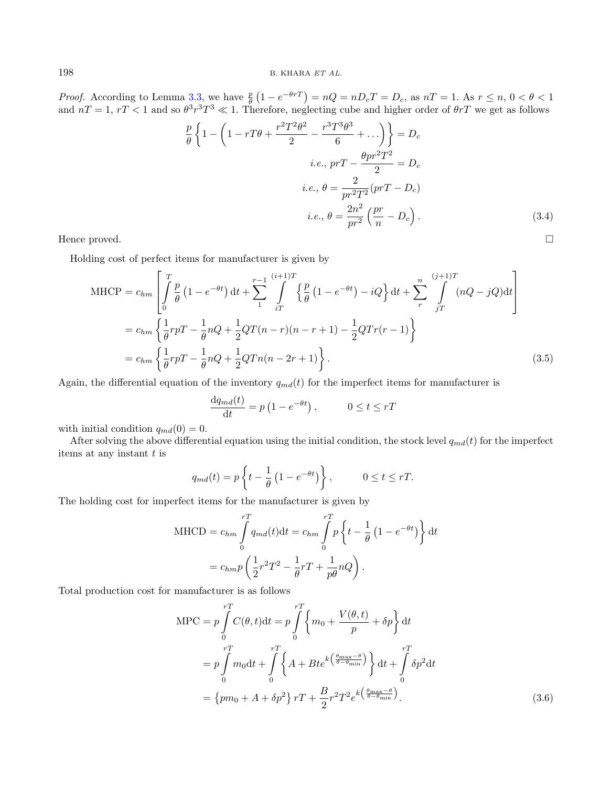*Proof.* According to Lemma [3.3,](#page-8-0) we have  $\frac{p}{\theta} (1 - e^{-\theta rT}) = nQ = nD_cT = D_c$ , as  $nT = 1$ . As  $r \le n, 0 < \theta < 1$ and  $nT = 1, rT < 1$  and so  $\theta^3 r^3 T^3 \ll 1$ . Therefore, neglecting cube and higher order of  $\theta rT$  we get as follows

$$
\frac{p}{\theta} \left\{ 1 - \left( 1 - rT\theta + \frac{r^2 T^2 \theta^2}{2} - \frac{r^3 T^3 \theta^3}{6} + \dots \right) \right\} = D_c
$$
\n*i.e., prT* -  $\frac{\theta pr^2 T^2}{2} = D_c$   
\n*i.e., \theta = \frac{2}{pr^2 T^2} (prT - D\_c)  
\n*i.e., \theta = \frac{2n^2}{pr^2} \left( \frac{pr}{n} - D\_c \right).* (3.4)*

Holding cost of perfect items for manufacturer is given by

$$
\text{MHCP} = c_{hm} \left[ \int_{0}^{T} \frac{p}{\theta} \left( 1 - e^{-\theta t} \right) dt + \sum_{1}^{r-1} \int_{iT}^{(i+1)T} \left\{ \frac{p}{\theta} \left( 1 - e^{-\theta t} \right) - iQ \right\} dt + \sum_{r}^{n} \int_{jT}^{(j+1)T} (nQ - jQ) dt \right]
$$
\n
$$
= c_{hm} \left\{ \frac{1}{\theta} r p T - \frac{1}{\theta} n Q + \frac{1}{2} Q T (n - r) (n - r + 1) - \frac{1}{2} Q T r (r - 1) \right\}
$$
\n
$$
= c_{hm} \left\{ \frac{1}{\theta} r p T - \frac{1}{\theta} n Q + \frac{1}{2} Q T n (n - 2r + 1) \right\}. \tag{3.5}
$$

Again, the differential equation of the inventory  $q_{md}(t)$  for the imperfect items for manufacturer is

$$
\frac{\mathrm{d}q_{md}(t)}{\mathrm{d}t} = p\left(1 - e^{-\theta t}\right), \qquad 0 \le t \le rT
$$

with initial condition  $q_{md}(0) = 0$ .

After solving the above differential equation using the initial condition, the stock level  $q_{md}(t)$  for the imperfect items at any instant  $t$  is

$$
q_{md}(t) = p\left\{t - \frac{1}{\theta}\left(1 - e^{-\theta t}\right)\right\}, \qquad 0 \le t \le rT.
$$

The holding cost for imperfect items for the manufacturer is given by

$$
\text{MHCD} = c_{hm} \int_{0}^{rT} q_{md}(t) dt = c_{hm} \int_{0}^{rT} p \left\{ t - \frac{1}{\theta} \left( 1 - e^{-\theta t} \right) \right\} dt
$$

$$
= c_{hm} p \left( \frac{1}{2} r^2 T^2 - \frac{1}{\theta} rT + \frac{1}{p\theta} nQ \right).
$$

Total production cost for manufacturer is as follows

$$
MPC = p \int_{0}^{rT} C(\theta, t) dt = p \int_{0}^{rT} \left\{ m_0 + \frac{V(\theta, t)}{p} + \delta p \right\} dt
$$
  
=  $p \int_{0}^{rT} m_0 dt + \int_{0}^{rT} \left\{ A + Bte^{k\left(\frac{\theta_{\text{max}} - \theta}{\theta - \theta_{\text{min}}}\right)} \right\} dt + \int_{0}^{rT} \delta p^2 dt$   
=  $\left\{ p m_0 + A + \delta p^2 \right\} rT + \frac{B}{2} r^2 T^2 e^{k\left(\frac{\theta_{\text{max}} - \theta}{\theta - \theta_{\text{min}}}\right)}.$  (3.6)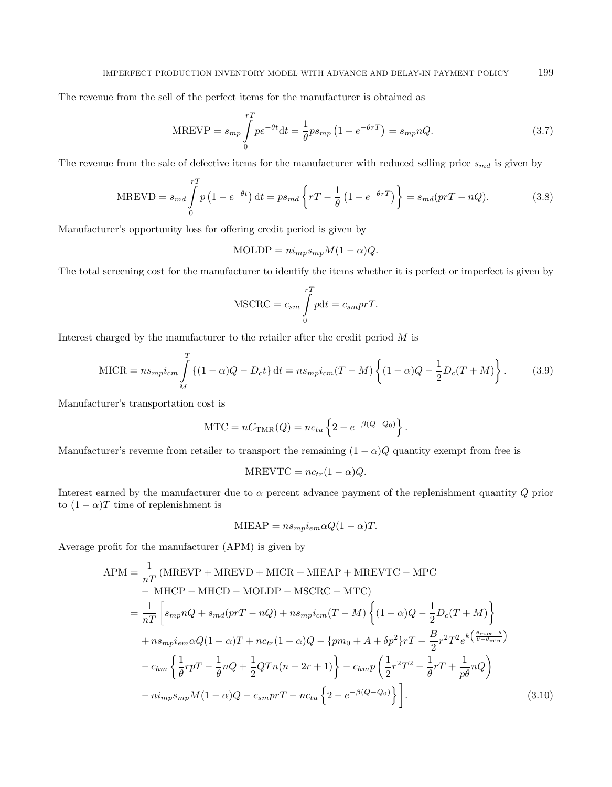The revenue from the sell of the perfect items for the manufacturer is obtained as

$$
\text{MREVP} = s_{mp} \int_{0}^{rT} p e^{-\theta t} dt = \frac{1}{\theta} p s_{mp} \left( 1 - e^{-\theta rT} \right) = s_{mp} nQ. \tag{3.7}
$$

The revenue from the sale of defective items for the manufacturer with reduced selling price  $s_{md}$  is given by

<span id="page-10-0"></span>
$$
\text{MREVD} = s_{md} \int_{0}^{rT} p\left(1 - e^{-\theta t}\right) dt = ps_{md} \left\{ rT - \frac{1}{\theta} \left(1 - e^{-\theta rT}\right) \right\} = s_{md}(prT - nQ). \tag{3.8}
$$

Manufacturer's opportunity loss for offering credit period is given by

$$
MOLDP = n i_{mp} s_{mp} M (1 - \alpha) Q.
$$

The total screening cost for the manufacturer to identify the items whether it is perfect or imperfect is given by

$$
MSCRC = c_{sm} \int_{0}^{rT} pdt = c_{sm} prT.
$$

Interest charged by the manufacturer to the retailer after the credit period M is

$$
MICR = n s_{mp} i_{cm} \int_{M}^{T} \{(1 - \alpha)Q - D_c t\} dt = n s_{mp} i_{cm} (T - M) \left\{ (1 - \alpha)Q - \frac{1}{2} D_c (T + M) \right\}.
$$
 (3.9)

Manufacturer's transportation cost is

$$
MTC = nC_{TMR}(Q) = nc_{tu} \left\{ 2 - e^{-\beta(Q - Q_0)} \right\}.
$$

Manufacturer's revenue from retailer to transport the remaining  $(1 - \alpha)Q$  quantity exempt from free is

$$
MREVTC = nc_{tr}(1-\alpha)Q.
$$

Interest earned by the manufacturer due to  $\alpha$  percent advance payment of the replenishment quantity  $Q$  prior to  $(1 - \alpha)T$  time of replenishment is

$$
MIEAP = ns_{mp}i_{em}\alpha Q(1-\alpha)T.
$$

Average profit for the manufacturer (APM) is given by

<span id="page-10-1"></span>
$$
APM = \frac{1}{nT} (MREVP + MREVD + MICR + MIEAP + MREVTC - MPC
$$
  
\n
$$
- MHCP - MHCD - MOLDP - MSCRC - MTC)
$$
  
\n
$$
= \frac{1}{nT} \left[ s_{mp}nQ + s_{md}(prT - nQ) + ns_{mp}i_{cm}(T - M) \left\{ (1 - \alpha)Q - \frac{1}{2}D_c(T + M) \right\} + ns_{mp}i_{em}\alpha Q(1 - \alpha)T + nc_{tr}(1 - \alpha)Q - \{pm_0 + A + \delta p^2\}T - \frac{B}{2}r^2T^2e^{k\left(\frac{\theta_{\text{max}} - \theta}{\theta - \theta_{\text{min}}}\right)} \right]
$$
  
\n
$$
- c_{hm} \left\{ \frac{1}{\theta}rpT - \frac{1}{\theta}nQ + \frac{1}{2}QTn(n - 2r + 1) \right\} - c_{hm}p\left(\frac{1}{2}r^2T^2 - \frac{1}{\theta}rT + \frac{1}{p\theta}nQ\right)
$$
  
\n
$$
- ni_{mp}s_{mp}M(1 - \alpha)Q - c_{sm}prT - nc_{tu}\left\{2 - e^{-\beta(Q - Q_0)}\right\} \right].
$$
 (3.10)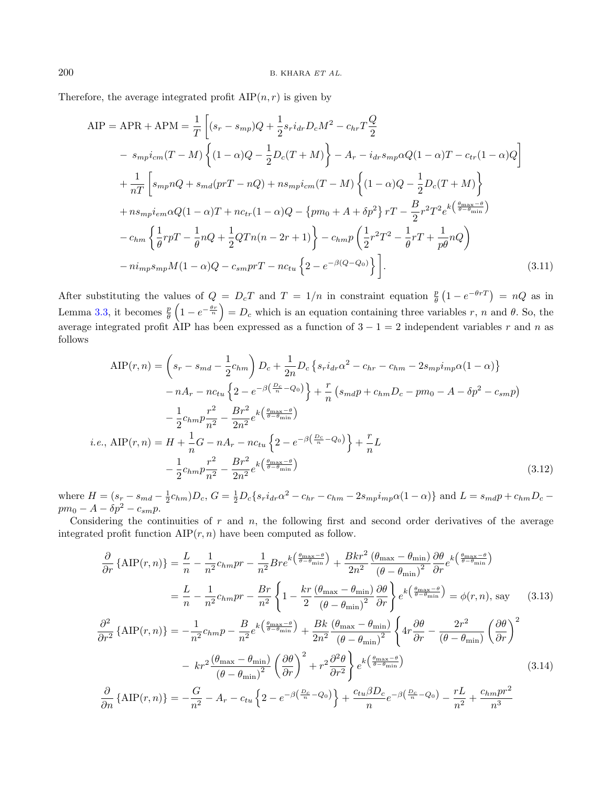Therefore, the average integrated profit  $\text{AIP}(n, r)$  is given by

$$
AIP = APR + APM = \frac{1}{T} \left[ (s_r - s_{mp})Q + \frac{1}{2} s_r i_{dr} D_c M^2 - c_{hr} T \frac{Q}{2} \right]
$$
  
\n
$$
- s_{mp} i_{cm} (T - M) \left\{ (1 - \alpha)Q - \frac{1}{2} D_c (T + M) \right\} - A_r - i_{dr} s_{mp} \alpha Q (1 - \alpha)T - c_{tr} (1 - \alpha)Q \right]
$$
  
\n
$$
+ \frac{1}{nT} \left[ s_{mp} nQ + s_{md} (prT - nQ) + n s_{mp} i_{cm} (T - M) \left\{ (1 - \alpha)Q - \frac{1}{2} D_c (T + M) \right\}
$$
  
\n
$$
+ n s_{mp} i_{em} \alpha Q (1 - \alpha)T + n c_{tr} (1 - \alpha)Q - \{pm_0 (1 - \alpha)Q + \alpha Q + \alpha Q \} T - \frac{B}{2} r^2 T^2 e^{k \left( \frac{\theta_{max} - \theta}{\theta - \theta_{min}} \right)}
$$
  
\n
$$
- c_{hm} \left\{ \frac{1}{\theta} rpT - \frac{1}{\theta} nQ + \frac{1}{2} Q T n (n - 2r + 1) \right\} - c_{hm} p \left( \frac{1}{2} r^2 T^2 - \frac{1}{\theta} r T + \frac{1}{p \theta} n Q \right)
$$
  
\n
$$
- n i_{mp} s_{mp} M (1 - \alpha)Q - c_{sm} prT - n c_{tu} \left\{ 2 - e^{-\beta (Q - Q_0)} \right\} \right].
$$
  
\n(3.11)

After substituting the values of  $Q = D_cT$  and  $T = 1/n$  in constraint equation  $\frac{p}{\theta}(1 - e^{-\theta T}) = nQ$  as in θ Lemma [3.3,](#page-8-0) it becomes  $\frac{p}{\theta}\left(1-e^{-\frac{\theta r}{n}}\right) = D_c$  which is an equation containing three variables r, n and  $\theta$ . So, the average integrated profit AIP has been expressed as a function of  $3 - 1 = 2$  independent variables r and n as follows

<span id="page-11-0"></span>
$$
\text{AIP}(r,n) = \left(s_r - s_{md} - \frac{1}{2}c_{hm}\right)D_c + \frac{1}{2n}D_c\left\{s_r i_{dr}\alpha^2 - c_{hr} - c_{hm} - 2s_{mp}i_{mp}\alpha(1-\alpha)\right\}
$$

$$
-nA_r - nc_{tu}\left\{2 - e^{-\beta\left(\frac{D_c}{n} - Q_0\right)}\right\} + \frac{r}{n}\left(s_{md}p + c_{hm}D_c - pm_0 - A - \delta p^2 - c_{sm}p\right)
$$

$$
-\frac{1}{2}c_{hm}p\frac{r^2}{n^2} - \frac{Br^2}{2n^2}e^{k\left(\frac{\theta_{\text{max}} - \theta}{\theta - \theta_{\text{min}}}\right)}
$$

$$
i.e., \text{AIP}(r,n) = H + \frac{1}{n}G - nA_r - nc_{tu}\left\{2 - e^{-\beta\left(\frac{D_c}{n} - Q_0\right)}\right\} + \frac{r}{n}L
$$

$$
-\frac{1}{2}c_{hm}p\frac{r^2}{n^2} - \frac{Br^2}{2n^2}e^{k\left(\frac{\theta_{\text{max}} - \theta}{\theta - \theta_{\text{min}}}\right)}\tag{3.12}
$$

where  $H = (s_r - s_{md} - \frac{1}{2}c_{hm})D_c$ ,  $G = \frac{1}{2}D_c\{s_r i_{dr}\alpha^2 - c_{hr} - c_{hm} - 2s_{mp}i_{mp}\alpha(1-\alpha)\}\$  and  $L = s_{md}p + c_{hm}D_c - c_{hm}$  $pm_0 - A - \delta p^2 - c_{sm}p.$ 

Considering the continuities of  $r$  and  $n$ , the following first and second order derivatives of the average integrated profit function  $\text{AIP}(r, n)$  have been computed as follow.

$$
\frac{\partial}{\partial r} \left\{ \text{AIP}(r,n) \right\} = \frac{L}{n} - \frac{1}{n^2} c_{hm} pr - \frac{1}{n^2} B r e^{k \left( \frac{\theta_{\text{max}} - \theta}{\theta - \theta_{\text{min}}} \right)} + \frac{B k r^2}{2 n^2} \frac{(\theta_{\text{max}} - \theta_{\text{min}})}{(\theta - \theta_{\text{min}})^2} \frac{\partial \theta}{\partial r} e^{k \left( \frac{\theta_{\text{max}} - \theta}{\theta - \theta_{\text{min}}} \right)}
$$
\n
$$
= \frac{L}{n} - \frac{1}{n^2} c_{hm} pr - \frac{B r}{n^2} \left\{ 1 - \frac{k r}{2} \frac{(\theta_{\text{max}} - \theta_{\text{min}})}{(\theta - \theta_{\text{min}})^2} \frac{\partial \theta}{\partial r} \right\} e^{k \left( \frac{\theta_{\text{max}} - \theta}{\theta - \theta_{\text{min}}} \right)} = \phi(r, n), \text{ say} \quad (3.13)
$$
\n
$$
\frac{\partial^2}{\partial r^2} \left\{ \text{AIP}(r, n) \right\} = -\frac{1}{n^2} c_{hm} p - \frac{B}{n^2} e^{k \left( \frac{\theta_{\text{max}} - \theta}{\theta_{\text{min}}} \right)} + \frac{B k}{2 n^2} \frac{(\theta_{\text{max}} - \theta_{\text{min}})}{(\theta - \theta_{\text{min}})^2} \left\{ 4 r \frac{\partial \theta}{\partial r} - \frac{2 r^2}{(\theta - \theta_{\text{min}})} \left( \frac{\partial \theta}{\partial r} \right)^2 \right\}
$$
\n
$$
- k r^2 \frac{(\theta_{\text{max}} - \theta_{\text{min}})}{(\theta - \theta_{\text{min}})^2} \left( \frac{\partial \theta}{\partial r} \right)^2 + r^2 \frac{\partial^2 \theta}{\partial r^2} e^{k \left( \frac{\theta_{\text{max}} - \theta}{\theta_{\text{min}}} \right)} \quad (3.14)
$$
\n
$$
\frac{\partial}{\partial n} \left\{ \text{AIP}(r, n) \right\} = -\frac{G}{n^2} - A_r - c_{tu} \left\{ 2 - e^{-\beta \left( \frac{D_c}{n}
$$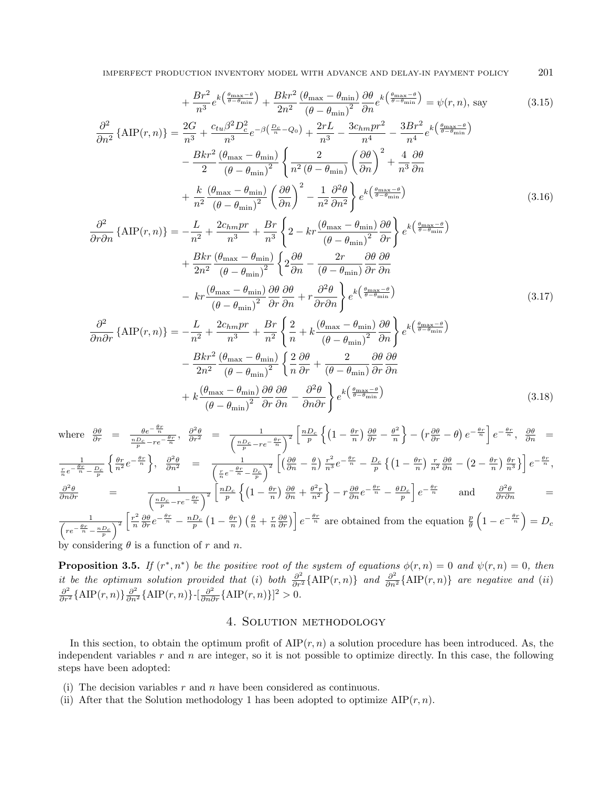IMPERFECT PRODUCTION INVENTORY MODEL WITH ADVANCE AND DELAY-IN PAYMENT POLICY 201

$$
+\frac{Br^2}{n^3}e^{k\left(\frac{\theta_{\max}-\theta}{\theta-\theta_{\min}}\right)} + \frac{Bkr^2}{2n^2}\frac{(\theta_{\max}-\theta_{\min})}{(\theta-\theta_{\min})^2}\frac{\partial\theta}{\partial n}e^{k\left(\frac{\theta_{\max}-\theta}{\theta-\theta_{\min}}\right)} = \psi(r,n), \text{ say} \tag{3.15}
$$

$$
\frac{\partial^2}{\partial n^2} \left\{ \text{AIP}(r,n) \right\} = \frac{2G}{n^3} + \frac{c_{tu}\beta^2 D_c^2}{n^3} e^{-\beta \left(\frac{D_c}{n} - Q_0\right)} + \frac{2rL}{n^3} - \frac{3c_{hm}pr^2}{n^4} - \frac{3Br^2}{n^4} e^{k\left(\frac{\theta_{\text{max}} - \theta}{\theta_{\text{min}}}\right)} - \frac{Bkr^2}{2} \frac{(\theta_{\text{max}} - \theta_{\text{min}})}{(\theta - \theta_{\text{min}})^2} \left\{ \frac{2}{n^2 (\theta - \theta_{\text{min}})} \left(\frac{\partial \theta}{\partial n}\right)^2 + \frac{4}{n^3} \frac{\partial \theta}{\partial n} + \frac{k}{n^2} \frac{(\theta_{\text{max}} - \theta_{\text{min}})}{(\theta - \theta_{\text{min}})^2} \left(\frac{\partial \theta}{\partial n}\right)^2 - \frac{1}{n^2} \frac{\partial^2 \theta}{\partial n^2} \right\} e^{k\left(\frac{\theta_{\text{max}} - \theta}{\theta_{\text{min}}}\right)} \tag{3.16}
$$

$$
\frac{\partial^2}{\partial r \partial n} \left\{ \text{AIP}(r,n) \right\} = -\frac{L}{n^2} + \frac{2c_{hm}pr}{n^3} + \frac{Br}{n^3} \left\{ 2 - kr \frac{\left(\theta_{\text{max}} - \theta_{\text{min}}\right)}{\left(\theta - \theta_{\text{min}}\right)^2} \frac{\partial \theta}{\partial r} \right\} e^{k\left(\frac{\theta_{\text{max}} - \theta}{\theta - \theta_{\text{min}}}\right)} \n+ \frac{Bkr}{2n^2} \frac{\left(\theta_{\text{max}} - \theta_{\text{min}}\right)}{\left(\theta - \theta_{\text{min}}\right)^2} \left\{ 2 \frac{\partial \theta}{\partial n} - \frac{2r}{\left(\theta - \theta_{\text{min}}\right)} \frac{\partial \theta}{\partial r} \frac{\partial \theta}{\partial n} \right. \n- kr \frac{\left(\theta_{\text{max}} - \theta_{\text{min}}\right)}{\left(\theta - \theta_{\text{min}}\right)^2} \frac{\partial \theta}{\partial r} \frac{\partial \theta}{\partial n} + r \frac{\partial^2 \theta}{\partial r \partial n} \left\} e^{k\left(\frac{\theta_{\text{max}} - \theta}{\theta - \theta_{\text{min}}}\right)} \tag{3.17}
$$

<span id="page-12-1"></span>
$$
\frac{\partial^2}{\partial n \partial r} \left\{ \text{AIP}(r,n) \right\} = -\frac{L}{n^2} + \frac{2c_{hm}pr}{n^3} + \frac{Br}{n^2} \left\{ \frac{2}{n} + k \frac{\left(\theta_{\text{max}} - \theta_{\text{min}}\right)}{\left(\theta - \theta_{\text{min}}\right)^2} \frac{\partial \theta}{\partial n} \right\} e^{k \left(\frac{\theta_{\text{max}} - \theta}{\theta_{\text{min}} - \theta_{\text{min}}}\right)} - \frac{Bkr^2}{2n^2} \frac{\left(\theta_{\text{max}} - \theta_{\text{min}}\right)}{\left(\theta - \theta_{\text{min}}\right)^2} \left\{ \frac{2}{n} \frac{\partial \theta}{\partial r} + \frac{2}{\left(\theta - \theta_{\text{min}}\right)} \frac{\partial \theta}{\partial r} \frac{\partial \theta}{\partial n} + \frac{2}{n^2} \frac{\partial \theta}{\partial n} \frac{\partial \theta}{\partial n} \right\} e^{k \left(\frac{\theta_{\text{max}} - \theta}{\theta_{\text{min}} - \theta_{\text{min}}}\right)} \tag{3.18}
$$

where  $\frac{\partial \theta}{\partial r}$  =  $\frac{\theta e^{-\frac{\theta r}{n}}}{n D_c - r c^2}$  $\frac{\theta e^{-\frac{\theta r}{n}}}{\frac{nD_c}{p}-re^{-\frac{\theta r}{n}}}, \frac{\partial^2 \theta}{\partial r^2} = \frac{1}{\left(\frac{nD_c}{p}-re^{-\frac{\theta r}{n}}\right)^2}\left[\frac{nD_c}{p}\left\{\left(1-\frac{\theta r}{n}\right)\frac{\partial \theta}{\partial r}-\frac{\theta^2}{n}\right\}$  $\left\{ \frac{\theta^2}{n} \right\} - \left( r \frac{\partial \theta}{\partial r} - \theta \right) e^{- \frac{\theta r}{n}} \right] e^{- \frac{\theta r}{n}}, \ \ \frac{\partial \theta}{\partial n} \ \ =$  $\frac{1}{\frac{r}{n}e^{-\frac{\theta r}{n}}-\frac{D_c}{p}}$  $\left\{\frac{\theta r}{n^2}e^{-\frac{\theta r}{n}}\right\},\quad \frac{\partial^2 \theta}{\partial n^2} = \frac{1}{\left(\frac{r}{n}e^{-\frac{\theta r}{n}}-\frac{D_c}{p}\right)}$  $\frac{1}{\sqrt{2}}\left[\left(\frac{\partial\theta}{\partial n}-\frac{\theta}{n}\right)\frac{r^2}{n^3}e^{-\frac{\theta r}{n}}-\frac{D_c}{p}\left\{\left(1-\frac{\theta r}{n}\right)\frac{r}{n^2}\frac{\partial\theta}{\partial n}-\left(2-\frac{\theta r}{n}\right)\frac{\theta r}{n^3}\right\}\right]e^{-\frac{\theta r}{n}},$  $rac{\partial^2 \theta}{\partial n \partial r}$  =  $\frac{1}{\left(\frac{nD_c}{p} - re^{-\frac{\theta r}{n}}\right)^2} \left[\frac{nD_c}{p}\left\{\left(1 - \frac{\theta r}{n}\right)\frac{\partial \theta}{\partial n} + \frac{\theta^2 r}{n^2}\right\} - r\frac{\partial \theta}{\partial n}e^{-\frac{\theta r}{n}} - \frac{\theta D_c}{p}\right]e^{-\frac{\theta r}{n}}$  and  $\frac{\partial^2 \theta}{\partial r \partial n}$  =  $\frac{1}{\sqrt{1-\frac{1}{2}}}$  $re^{-\frac{\theta r}{n}} - \frac{nD_c}{p}$  $\frac{r^2}{\sqrt{2}}$  $\frac{r^2}{n} \frac{\partial \theta}{\partial r} e^{-\frac{\theta r}{n}} - \frac{nD_c}{p} \left(1 - \frac{\theta r}{n}\right) \left(\frac{\theta}{n} + \frac{r}{n} \frac{\partial \theta}{\partial r}\right) e^{-\frac{\theta r}{n}}$  are obtained from the equation  $\frac{p}{\theta} \left(1 - e^{-\frac{\theta r}{n}}\right) = D_c$ 

by considering  $\theta$  is a function of r and n.

**Proposition 3.5.** If  $(r^*, n^*)$  be the positive root of the system of equations  $\phi(r,n) = 0$  and  $\psi(r,n) = 0$ , then it be the optimum solution provided that (i) both  $\frac{\partial^2}{\partial r^2} {\text{AIP}(r,n)}$  and  $\frac{\partial^2}{\partial n^2} {\text{AIP}(r,n)}$  are negative and (ii)  $\frac{\partial^2}{\partial r^2} {\text{AIP}(r,n)} \frac{\partial^2}{\partial n^2} {\text{AIP}(r,n)} \frac{\partial^2}{\partial n \partial r} {\text{AIP}(r,n)}^2 > 0$ .

# 4. Solution methodology

<span id="page-12-0"></span>In this section, to obtain the optimum profit of  $\text{AIP}(r, n)$  a solution procedure has been introduced. As, the independent variables  $r$  and  $n$  are integer, so it is not possible to optimize directly. In this case, the following steps have been adopted:

- (i) The decision variables  $r$  and  $n$  have been considered as continuous.
- (ii) After that the Solution methodology 1 has been adopted to optimize  $\text{AIP}(r, n)$ .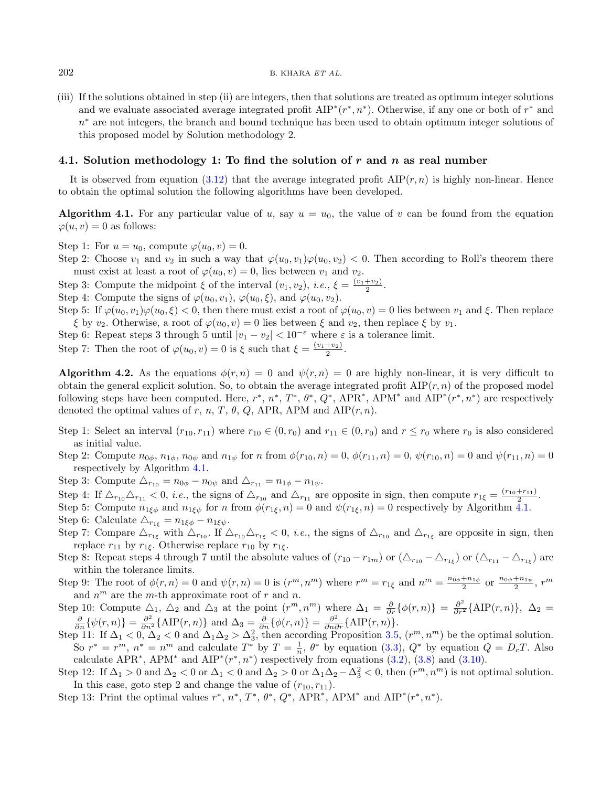(iii) If the solutions obtained in step (ii) are integers, then that solutions are treated as optimum integer solutions and we evaluate associated average integrated profit  $\text{AIP}^*(r^*, n^*)$ . Otherwise, if any one or both of  $r^*$  and n <sup>∗</sup> are not integers, the branch and bound technique has been used to obtain optimum integer solutions of this proposed model by Solution methodology 2.

#### 4.1. Solution methodology 1: To find the solution of r and n as real number

It is observed from equation [\(3.12\)](#page-11-0) that the average integrated profit  $\text{AIP}(r, n)$  is highly non-linear. Hence to obtain the optimal solution the following algorithms have been developed.

Algorithm 4.1. For any particular value of u, say  $u = u_0$ , the value of v can be found from the equation  $\varphi(u, v) = 0$  as follows:

Step 1: For  $u = u_0$ , compute  $\varphi(u_0, v) = 0$ .

Step 2: Choose  $v_1$  and  $v_2$  in such a way that  $\varphi(u_0, v_1)\varphi(u_0, v_2) < 0$ . Then according to Roll's theorem there must exist at least a root of  $\varphi(u_0, v) = 0$ , lies between  $v_1$  and  $v_2$ .

Step 3: Compute the midpoint  $\xi$  of the interval  $(v_1, v_2)$ , *i.e.*,  $\xi = \frac{(v_1 + v_2)}{2}$ .

Step 4: Compute the signs of  $\varphi(u_0, v_1), \varphi(u_0, \xi),$  and  $\varphi(u_0, v_2)$ .

Step 5: If  $\varphi(u_0, v_1)\varphi(u_0, \xi) < 0$ , then there must exist a root of  $\varphi(u_0, v) = 0$  lies between  $v_1$  and  $\xi$ . Then replace  $\xi$  by  $v_2$ . Otherwise, a root of  $\varphi(u_0, v) = 0$  lies between  $\xi$  and  $v_2$ , then replace  $\xi$  by  $v_1$ .

Step 6: Repeat steps 3 through 5 until  $|v_1 - v_2| < 10^{-\epsilon}$  where  $\varepsilon$  is a tolerance limit.

Step 7: Then the root of 
$$
\varphi(u_0, v) = 0
$$
 is  $\xi$  such that  $\xi = \frac{(v_1 + v_2)}{2}$ .

**Algorithm 4.2.** As the equations  $\phi(r,n) = 0$  and  $\psi(r,n) = 0$  are highly non-linear, it is very difficult to obtain the general explicit solution. So, to obtain the average integrated profit  $\text{AIP}(r, n)$  of the proposed model following steps have been computed. Here,  $r^*$ ,  $n^*$ ,  $T^*$ ,  $\theta^*$ ,  $Q^*$ , APR<sup>\*</sup>, APM<sup>\*</sup> and AIP<sup>\*</sup> $(r^*, n^*)$  are respectively denoted the optimal values of r, n, T,  $\theta$ , Q, APR, APM and AIP $(r, n)$ .

- Step 1: Select an interval  $(r_{10}, r_{11})$  where  $r_{10} \in (0, r_0)$  and  $r_{11} \in (0, r_0)$  and  $r \le r_0$  where  $r_0$  is also considered as initial value.
- Step 2: Compute  $n_{0\phi}$ ,  $n_{1\phi}$ ,  $n_{0\psi}$  and  $n_{1\psi}$  for n from  $\phi(r_{10}, n) = 0$ ,  $\phi(r_{11}, n) = 0$ ,  $\psi(r_{10}, n) = 0$  and  $\psi(r_{11}, n) = 0$ respectively by Algorithm [4.1.](#page-13-0)
- Step 3: Compute  $\Delta_{r_{10}} = n_{0\phi} n_{0\psi}$  and  $\Delta_{r_{11}} = n_{1\phi} n_{1\psi}$ .
- Step 4: If  $\Delta_{r_{10}}\Delta_{r_{11}} < 0$ , *i.e.*, the signs of  $\Delta_{r_{10}}$  and  $\Delta_{r_{11}}$  are opposite in sign, then compute  $r_{1\xi} = \frac{(r_{10} + r_{11})}{2}$ .
- Step 5: Compute  $n_{1\xi\phi}$  and  $n_{1\xi\psi}$  for n from  $\phi(r_{1\xi}, n) = 0$  and  $\psi(r_{1\xi}, n) = 0$  respectively by Algorithm [4.1.](#page-13-0)
- Step 6: Calculate  $\Delta_{r_{1\xi}} = n_{1\xi\phi} n_{1\xi\psi}$ .
- Step 7: Compare  $\Delta_{r_{1\xi}}$  with  $\Delta_{r_{10}}$ . If  $\Delta_{r_{10}}\Delta_{r_{1\xi}} < 0$ , *i.e.*, the signs of  $\Delta_{r_{10}}$  and  $\Delta_{r_{1\xi}}$  are opposite in sign, then replace  $r_{11}$  by  $r_{1\xi}$ . Otherwise replace  $r_{10}$  by  $r_{1\xi}$ .
- Step 8: Repeat steps 4 through 7 until the absolute values of  $(r_{10}-r_{1m})$  or  $(\triangle_{r_{10}}-\triangle_{r_{1\xi}})$  or  $(\triangle_{r_{11}}-\triangle_{r_{1\xi}})$  are within the tolerance limits.
- Step 9: The root of  $\phi(r,n) = 0$  and  $\psi(r,n) = 0$  is  $(r^m, n^m)$  where  $r^m = r_{1\xi}$  and  $n^m = \frac{n_{0\phi} + n_{1\phi}}{2}$  or  $\frac{n_{0\psi} + n_{1\psi}}{2}$ ,  $r^m$ and  $n^m$  are the m-th approximate root of r and n.
- Step 10: Compute  $\Delta_1$ ,  $\Delta_2$  and  $\Delta_3$  at the point  $(r^m, n^m)$  where  $\Delta_1 = \frac{\partial}{\partial r} {\{\phi(r,n)\}} = \frac{\partial^2}{\partial r^2} {\{\text{AIP}(r,n)\}}$ ,  $\Delta_2 =$  $\frac{\partial}{\partial n} \{\psi(r,n)\} = \frac{\partial^2}{\partial n^2} \{\text{AIP}(r,n)\}\$  and  $\Delta_3 = \frac{\partial}{\partial n} \{\phi(r,n)\} = \frac{\partial^2}{\partial n \partial r} \{\text{AIP}(r,n)\}.$
- Step 11: If  $\Delta_1 < 0$ ,  $\Delta_2 < 0$  and  $\Delta_1 \Delta_2 > \Delta_3^2$ , then according Proposition [3.5,](#page-12-1)  $(r^m, n^m)$  be the optimal solution. So  $r^* = r^m$ ,  $n^* = n^m$  and calculate  $T^*$  by  $T = \frac{1}{n}$ ,  $\theta^*$  by equation  $(3.3)$ ,  $Q^*$  by equation  $Q = D_cT$ . Also calculate APR<sup>\*</sup>, APM<sup>\*</sup> and AIP<sup>\*</sup>( $r$ <sup>\*</sup>, $n$ <sup>\*</sup>) respectively from equations [\(3.2\)](#page-7-0), [\(3.8\)](#page-10-0) and [\(3.10\)](#page-10-1).
- Step 12: If  $\Delta_1 > 0$  and  $\Delta_2 < 0$  or  $\Delta_1 < 0$  and  $\Delta_2 > 0$  or  $\Delta_1 \Delta_2 \Delta_3^2 < 0$ , then  $(r^m, n^m)$  is not optimal solution. In this case, goto step 2 and change the value of  $(r_{10}, r_{11})$ .
- Step 13: Print the optimal values  $r^*$ ,  $n^*$ ,  $T^*$ ,  $\theta^*$ ,  $Q^*$ , APR<sup>\*</sup>, APM<sup>\*</sup> and AIP<sup>\*</sup> $(r^*, n^*)$ .

<span id="page-13-0"></span>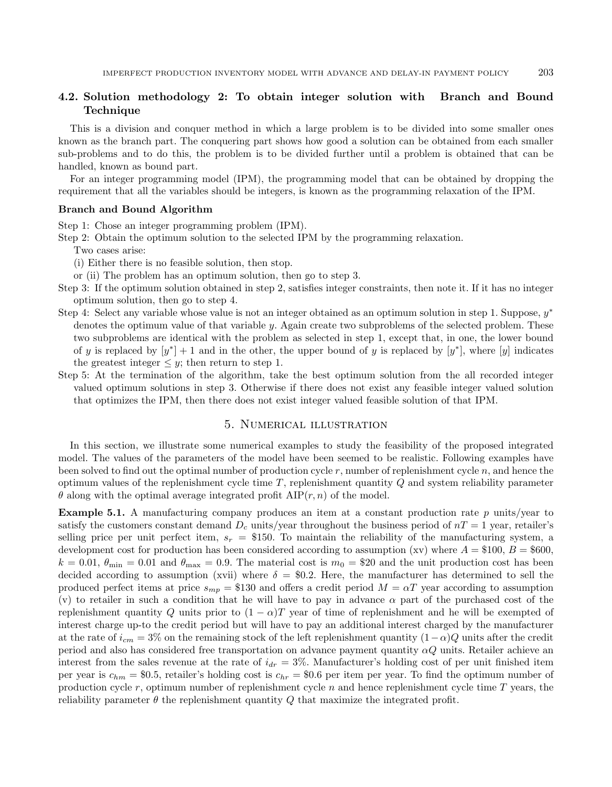# 4.2. Solution methodology 2: To obtain integer solution with Branch and Bound Technique

This is a division and conquer method in which a large problem is to be divided into some smaller ones known as the branch part. The conquering part shows how good a solution can be obtained from each smaller sub-problems and to do this, the problem is to be divided further until a problem is obtained that can be handled, known as bound part.

For an integer programming model (IPM), the programming model that can be obtained by dropping the requirement that all the variables should be integers, is known as the programming relaxation of the IPM.

#### Branch and Bound Algorithm

Step 1: Chose an integer programming problem (IPM).

Step 2: Obtain the optimum solution to the selected IPM by the programming relaxation.

Two cases arise:

(i) Either there is no feasible solution, then stop.

or (ii) The problem has an optimum solution, then go to step 3.

- Step 3: If the optimum solution obtained in step 2, satisfies integer constraints, then note it. If it has no integer optimum solution, then go to step 4.
- Step 4: Select any variable whose value is not an integer obtained as an optimum solution in step 1. Suppose,  $y^*$ denotes the optimum value of that variable  $y$ . Again create two subproblems of the selected problem. These two subproblems are identical with the problem as selected in step 1, except that, in one, the lower bound of y is replaced by  $[y^*]+1$  and in the other, the upper bound of y is replaced by  $[y^*]$ , where  $[y]$  indicates the greatest integer  $\leq y$ ; then return to step 1.
- Step 5: At the termination of the algorithm, take the best optimum solution from the all recorded integer valued optimum solutions in step 3. Otherwise if there does not exist any feasible integer valued solution that optimizes the IPM, then there does not exist integer valued feasible solution of that IPM.

### 5. Numerical illustration

<span id="page-14-0"></span>In this section, we illustrate some numerical examples to study the feasibility of the proposed integrated model. The values of the parameters of the model have been seemed to be realistic. Following examples have been solved to find out the optimal number of production cycle  $r$ , number of replenishment cycle  $n$ , and hence the optimum values of the replenishment cycle time  $T$ , replenishment quantity  $Q$  and system reliability parameter  $\theta$  along with the optimal average integrated profit AIP $(r, n)$  of the model.

<span id="page-14-1"></span>**Example 5.1.** A manufacturing company produces an item at a constant production rate  $p$  units/year to satisfy the customers constant demand  $D_c$  units/year throughout the business period of  $nT = 1$  year, retailer's selling price per unit perfect item,  $s_r = $150$ . To maintain the reliability of the manufacturing system, a development cost for production has been considered according to assumption (xv) where  $A = $100, B = $600$ ,  $k = 0.01$ ,  $\theta_{\text{min}} = 0.01$  and  $\theta_{\text{max}} = 0.9$ . The material cost is  $m_0 = $20$  and the unit production cost has been decided according to assumption (xvii) where  $\delta = 0.2$ . Here, the manufacturer has determined to sell the produced perfect items at price  $s_{mp} = $130$  and offers a credit period  $M = \alpha T$  year according to assumption (v) to retailer in such a condition that he will have to pay in advance  $\alpha$  part of the purchased cost of the replenishment quantity Q units prior to  $(1 - \alpha)T$  year of time of replenishment and he will be exempted of interest charge up-to the credit period but will have to pay an additional interest charged by the manufacturer at the rate of  $i_{cm} = 3\%$  on the remaining stock of the left replenishment quantity  $(1 - \alpha)Q$  units after the credit period and also has considered free transportation on advance payment quantity  $\alpha Q$  units. Retailer achieve an interest from the sales revenue at the rate of  $i_{dr} = 3\%$ . Manufacturer's holding cost of per unit finished item per year is  $c_{hm} = $0.5$ , retailer's holding cost is  $c_{hr} = $0.6$  per item per year. To find the optimum number of production cycle  $r$ , optimum number of replenishment cycle  $n$  and hence replenishment cycle time  $T$  years, the reliability parameter  $\theta$  the replenishment quantity Q that maximize the integrated profit.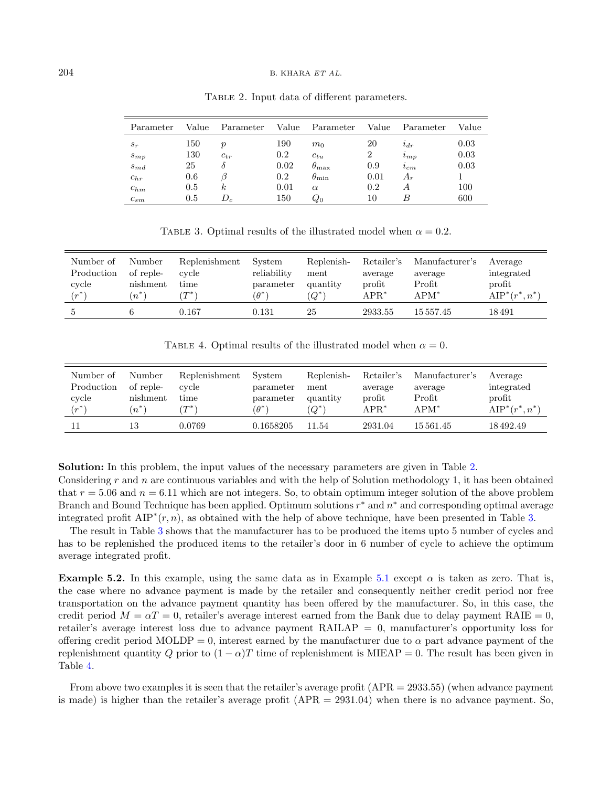#### $204$  B. KHARA ET AL.

| Parameter | Value | Parameter        | Value | Parameter          | Value | Parameter     | Value |
|-----------|-------|------------------|-------|--------------------|-------|---------------|-------|
| $s_r$     | 150   | $\boldsymbol{p}$ | 190   | m <sub>0</sub>     | 20    | $i_{dr}$      | 0.03  |
| $s_{mp}$  | 130   | $c_{tr}$         | 0.2   | $c_{tu}$           | 2     | $\imath_{mp}$ | 0.03  |
| $s_{md}$  | 25    | ο                | 0.02  | $\theta_{\rm max}$ | 0.9   | $i_{cm}$      | 0.03  |
| $c_{hr}$  | 0.6   |                  | 0.2   | $\theta_{\rm min}$ | 0.01  | $A_r$         |       |
| $c_{hm}$  | 0.5   | k.               | 0.01  | $\alpha$           | 0.2   | А             | 100   |
| $c_{sm}$  | 0.5   | $D_c$            | 150   | $Q_{0}$            | 10    | В             | 600   |

<span id="page-15-1"></span><span id="page-15-0"></span>TABLE 2. Input data of different parameters.

<span id="page-15-2"></span>TABLE 3. Optimal results of the illustrated model when  $\alpha = 0.2$ .

| Number of      | Number    | Replenishment | System      | Replenish- | Retailer's   | Manufacturer's | Average           |
|----------------|-----------|---------------|-------------|------------|--------------|----------------|-------------------|
| Production     | of reple- | cycle         | reliability | ment       | average      | average        | integrated        |
| cycle          | nishment  | time          | parameter   | quantity   | profit       | Profit         | profit            |
| $\cdot r^{**}$ | $(n^*)$   | $T^*$         | $\theta^*$  | $Q^*$      | $\rm{APR}^*$ | $APM^*$        | $AIP^*(r^*, n^*)$ |
|                | 6         | 0.167         | 0.131       | 25         | 2933.55      | 15 557.45      | 18 491            |

TABLE 4. Optimal results of the illustrated model when  $\alpha = 0$ .

| Number of  | Number    | Replenishment | System     | Replenish- | Retailer's | Manufacturer's | Average           |
|------------|-----------|---------------|------------|------------|------------|----------------|-------------------|
| Production | of reple- | cycle         | parameter  | ment       | average    | average        | integrated        |
| cycle      | nishment  | time          | parameter  | quantity   | profit     | Profit         | profit            |
| $(r^*)$    | $(n^*)$   | $T^*$         | $\theta^*$ | $(Q^*)$    | $APR^*$    | $APM^*$        | $AIP^*(r^*, n^*)$ |
|            | 13        | 0.0769        | 0.1658205  | 11.54      | 2931.04    | 15 561.45      | 18492.49          |

Solution: In this problem, the input values of the necessary parameters are given in Table [2.](#page-15-0) Considering r and n are continuous variables and with the help of Solution methodology 1, it has been obtained that  $r = 5.06$  and  $n = 6.11$  which are not integers. So, to obtain optimum integer solution of the above problem Branch and Bound Technique has been applied. Optimum solutions  $r^*$  and  $n^*$  and corresponding optimal average integrated profit  $\text{AIP}^*(r, n)$ , as obtained with the help of above technique, have been presented in Table [3.](#page-15-1)

The result in Table [3](#page-15-1) shows that the manufacturer has to be produced the items upto 5 number of cycles and has to be replenished the produced items to the retailer's door in 6 number of cycle to achieve the optimum average integrated profit.

**Example 5.2.** In this example, using the same data as in Example [5.1](#page-14-1) except  $\alpha$  is taken as zero. That is, the case where no advance payment is made by the retailer and consequently neither credit period nor free transportation on the advance payment quantity has been offered by the manufacturer. So, in this case, the credit period  $M = \alpha T = 0$ , retailer's average interest earned from the Bank due to delay payment RAIE = 0. retailer's average interest loss due to advance payment RAILAP = 0, manufacturer's opportunity loss for offering credit period MOLDP = 0, interest earned by the manufacturer due to  $\alpha$  part advance payment of the replenishment quantity Q prior to  $(1 - \alpha)T$  time of replenishment is MIEAP = 0. The result has been given in Table [4.](#page-15-2)

From above two examples it is seen that the retailer's average profit (APR = 2933.55) (when advance payment is made) is higher than the retailer's average profit (APR = 2931.04) when there is no advance payment. So,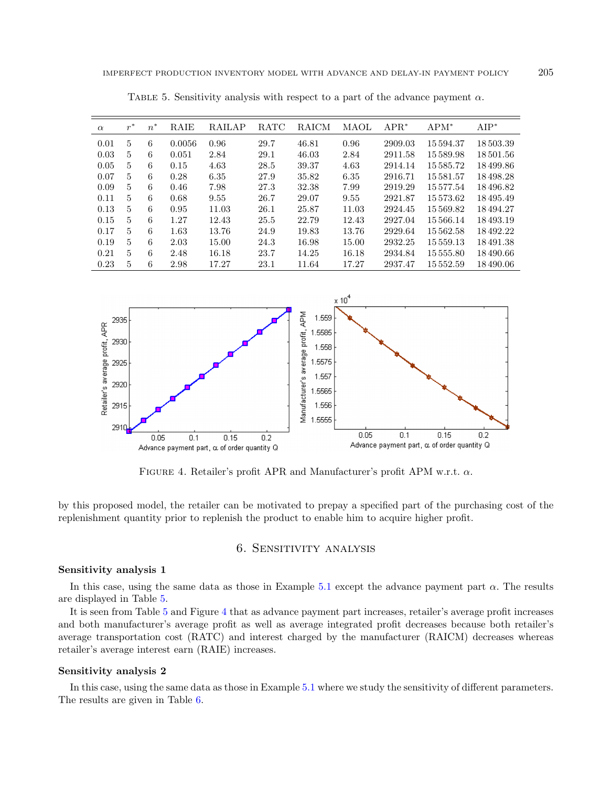| $\alpha$ | $r^*$          | $\ast$<br>$\overline{n}$ | RAIE   | <b>RAILAP</b> | <b>RATC</b> | RAICM | MAOL  | $APR^*$ | $APM^*$       | $AIP^*$  |
|----------|----------------|--------------------------|--------|---------------|-------------|-------|-------|---------|---------------|----------|
| 0.01     | 5              | 6                        | 0.0056 | 0.96          | 29.7        | 46.81 | 0.96  | 2909.03 | 15594.37      | 18503.39 |
| 0.03     | 5              | 6                        | 0.051  | 2.84          | 29.1        | 46.03 | 2.84  | 2911.58 | 15589.98      | 18501.56 |
| 0.05     | $\overline{5}$ | 6                        | 0.15   | 4.63          | 28.5        | 39.37 | 4.63  | 2914.14 | 15585.72      | 18499.86 |
| 0.07     | 5              | 6                        | 0.28   | 6.35          | 27.9        | 35.82 | 6.35  | 2916.71 | 15581.57      | 18498.28 |
| 0.09     | $\overline{5}$ | 6                        | 0.46   | 7.98          | 27.3        | 32.38 | 7.99  | 2919.29 | 15577.54      | 18496.82 |
| 0.11     | 5              | 6                        | 0.68   | 9.55          | 26.7        | 29.07 | 9.55  | 2921.87 | 15573.62      | 18495.49 |
| 0.13     | $\overline{5}$ | 6                        | 0.95   | 11.03         | 26.1        | 25.87 | 11.03 | 2924.45 | 15569.82      | 18494.27 |
| 0.15     | $\overline{5}$ | 6                        | 1.27   | 12.43         | 25.5        | 22.79 | 12.43 | 2927.04 | 15566.14      | 18493.19 |
| 0.17     | 5              | 6                        | 1.63   | 13.76         | 24.9        | 19.83 | 13.76 | 2929.64 | 15562.58      | 18492.22 |
| 0.19     | $\overline{5}$ | 6                        | 2.03   | 15.00         | 24.3        | 16.98 | 15.00 | 2932.25 | 15 5 5 9 . 13 | 18491.38 |
| 0.21     | 5              | 6                        | 2.48   | 16.18         | 23.7        | 14.25 | 16.18 | 2934.84 | 15555.80      | 18490.66 |
| 0.23     | 5              | 6                        | 2.98   | 17.27         | 23.1        | 11.64 | 17.27 | 2937.47 | 15552.59      | 18490.06 |

<span id="page-16-0"></span>TABLE 5. Sensitivity analysis with respect to a part of the advance payment  $\alpha$ .

<span id="page-16-1"></span>

FIGURE 4. Retailer's profit APR and Manufacturer's profit APM w.r.t.  $\alpha$ .

by this proposed model, the retailer can be motivated to prepay a specified part of the purchasing cost of the replenishment quantity prior to replenish the product to enable him to acquire higher profit.

# 6. Sensitivity analysis

#### Sensitivity analysis 1

In this case, using the same data as those in Example [5.1](#page-14-1) except the advance payment part  $\alpha$ . The results are displayed in Table [5.](#page-16-0)

It is seen from Table [5](#page-16-0) and Figure [4](#page-16-1) that as advance payment part increases, retailer's average profit increases and both manufacturer's average profit as well as average integrated profit decreases because both retailer's average transportation cost (RATC) and interest charged by the manufacturer (RAICM) decreases whereas retailer's average interest earn (RAIE) increases.

#### Sensitivity analysis 2

In this case, using the same data as those in Example [5.1](#page-14-1) where we study the sensitivity of different parameters. The results are given in Table [6.](#page-17-0)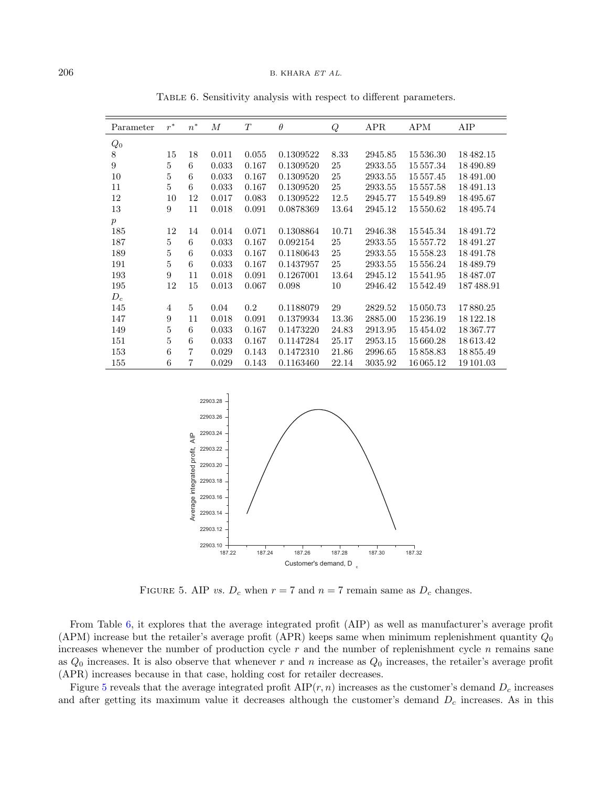| Parameter        | $r^*$            | $n^*$ | $\boldsymbol{M}$ | T     | $\theta$  | Q     | <b>APR</b> | <b>APM</b> | AIP       |
|------------------|------------------|-------|------------------|-------|-----------|-------|------------|------------|-----------|
| $Q_0$            |                  |       |                  |       |           |       |            |            |           |
| $8\,$            | 15               | 18    | 0.011            | 0.055 | 0.1309522 | 8.33  | 2945.85    | 15 536.30  | 18482.15  |
| 9                | 5                | 6     | 0.033            | 0.167 | 0.1309520 | 25    | 2933.55    | 15 557.34  | 18490.89  |
| 10               | $\bf 5$          | 6     | 0.033            | 0.167 | 0.1309520 | 25    | 2933.55    | 15 557.45  | 18 491.00 |
| 11               | 5                | 6     | 0.033            | 0.167 | 0.1309520 | 25    | 2933.55    | 15557.58   | 18491.13  |
| 12               | 10               | 12    | 0.017            | 0.083 | 0.1309522 | 12.5  | 2945.77    | 15549.89   | 18495.67  |
| 13               | 9                | 11    | 0.018            | 0.091 | 0.0878369 | 13.64 | 2945.12    | 15 550.62  | 18495.74  |
| $\boldsymbol{p}$ |                  |       |                  |       |           |       |            |            |           |
| 185              | 12               | 14    | 0.014            | 0.071 | 0.1308864 | 10.71 | 2946.38    | 15545.34   | 18491.72  |
| 187              | 5                | 6     | 0.033            | 0.167 | 0.092154  | 25    | 2933.55    | 15 557.72  | 18491.27  |
| 189              | $\overline{5}$   | 6     | 0.033            | 0.167 | 0.1180643 | 25    | 2933.55    | 15 558.23  | 18491.78  |
| 191              | 5                | 6     | 0.033            | 0.167 | 0.1437957 | 25    | 2933.55    | 15 556.24  | 18489.79  |
| 193              | 9                | 11    | 0.018            | 0.091 | 0.1267001 | 13.64 | 2945.12    | 15 541.95  | 18487.07  |
| 195              | 12               | 15    | 0.013            | 0.067 | 0.098     | 10    | 2946.42    | 15542.49   | 187488.91 |
| $D_c$            |                  |       |                  |       |           |       |            |            |           |
| 145              | $\overline{4}$   | 5     | 0.04             | 0.2   | 0.1188079 | 29    | 2829.52    | 15 050.73  | 17880.25  |
| 147              | $\boldsymbol{9}$ | 11    | 0.018            | 0.091 | 0.1379934 | 13.36 | 2885.00    | 15236.19   | 18 122.18 |
| 149              | 5                | 6     | 0.033            | 0.167 | 0.1473220 | 24.83 | 2913.95    | 15454.02   | 18 367.77 |
| 151              | $\bf 5$          | 6     | 0.033            | 0.167 | 0.1147284 | 25.17 | 2953.15    | 15 660.28  | 18613.42  |
| 153              | $\,6\,$          | 7     | 0.029            | 0.143 | 0.1472310 | 21.86 | 2996.65    | 15858.83   | 18855.49  |
| 155              | 6                | 7     | 0.029            | 0.143 | 0.1163460 | 22.14 | 3035.92    | 16 065.12  | 19 101.03 |

<span id="page-17-0"></span>Table 6. Sensitivity analysis with respect to different parameters.

<span id="page-17-1"></span>

FIGURE 5. AIP vs.  $D_c$  when  $r = 7$  and  $n = 7$  remain same as  $D_c$  changes.

From Table [6,](#page-17-0) it explores that the average integrated profit (AIP) as well as manufacturer's average profit (APM) increase but the retailer's average profit (APR) keeps same when minimum replenishment quantity  $Q_0$ increases whenever the number of production cycle  $r$  and the number of replenishment cycle  $n$  remains sane as  $Q_0$  increases. It is also observe that whenever r and n increase as  $Q_0$  increases, the retailer's average profit (APR) increases because in that case, holding cost for retailer decreases.

Figure [5](#page-17-1) reveals that the average integrated profit  $\text{AIP}(r, n)$  increases as the customer's demand  $D_c$  increases and after getting its maximum value it decreases although the customer's demand  $D<sub>c</sub>$  increases. As in this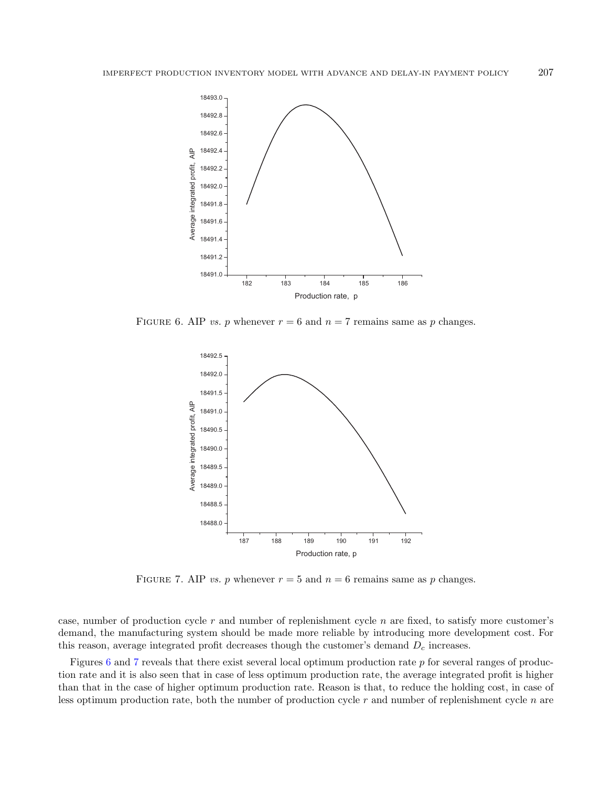<span id="page-18-0"></span>

FIGURE 6. AIP *vs.* p whenever  $r = 6$  and  $n = 7$  remains same as p changes.

<span id="page-18-1"></span>

FIGURE 7. AIP vs. p whenever  $r = 5$  and  $n = 6$  remains same as p changes.

case, number of production cycle  $r$  and number of replenishment cycle  $n$  are fixed, to satisfy more customer's demand, the manufacturing system should be made more reliable by introducing more development cost. For this reason, average integrated profit decreases though the customer's demand  $D<sub>c</sub>$  increases.

Figures [6](#page-18-0) and [7](#page-18-1) reveals that there exist several local optimum production rate p for several ranges of production rate and it is also seen that in case of less optimum production rate, the average integrated profit is higher than that in the case of higher optimum production rate. Reason is that, to reduce the holding cost, in case of less optimum production rate, both the number of production cycle  $r$  and number of replenishment cycle  $n$  are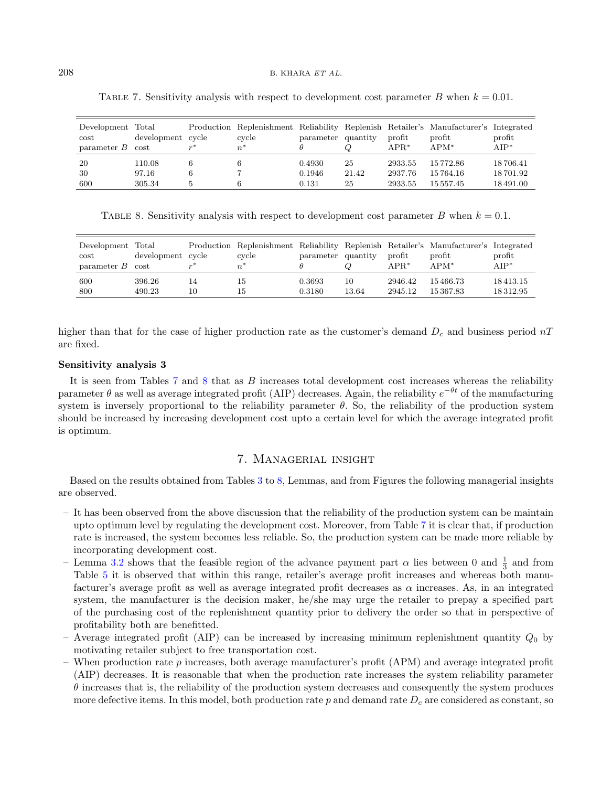| Development Total<br>$\cot$<br>parameter $B$ cost | development cycle | $\mathfrak{m}^*$ | cycle<br>$n^*$ | parameter quantity |       | $\n  profit\n$<br>$APR^*$ | Production Replenishment Reliability Replenish Retailer's Manufacturer's Integrated<br>profit<br>$APM^*$ | profit<br>$AIP^*$ |
|---------------------------------------------------|-------------------|------------------|----------------|--------------------|-------|---------------------------|----------------------------------------------------------------------------------------------------------|-------------------|
| 20                                                | 110.08            |                  |                | 0.4930             | 25    | 2933.55                   | 15 772.86                                                                                                | 18706.41          |
| 30                                                | 97.16             | 6                |                | 0.1946             | 21.42 | 2937.76                   | 15764.16                                                                                                 | 18701.92          |
| 600                                               | 305.34            | 5.               | 6              | 0.131              | 25    | 2933.55                   | 15 557.45                                                                                                | 18491.00          |

<span id="page-19-1"></span><span id="page-19-0"></span>TABLE 7. Sensitivity analysis with respect to development cost parameter B when  $k = 0.01$ .

TABLE 8. Sensitivity analysis with respect to development cost parameter B when  $k = 0.1$ .

| Development Total<br>$\rm cost$<br>parameter $B$ cost | development cycle |    | cvcle<br>n | parameter quantity |       | $\n  profit\n$<br>$APR*$ | Production Replenishment Reliability Replenish Retailer's Manufacturer's Integrated<br>$\n  profit\n$<br>$APM^*$ | profit<br>$AIP^*$ |
|-------------------------------------------------------|-------------------|----|------------|--------------------|-------|--------------------------|------------------------------------------------------------------------------------------------------------------|-------------------|
| 600                                                   | 396.26            | 14 | -15        | 0.3693             | 10    | 2946.42                  | 15 466.73                                                                                                        | 18 4 13 . 15      |
| 800                                                   | 490.23            | 10 | 15         | 0.3180             | 13.64 | 2945.12                  | 15 367.83                                                                                                        | 18312.95          |

higher than that for the case of higher production rate as the customer's demand  $D_c$  and business period  $nT$ are fixed.

### Sensitivity analysis 3

It is seen from Tables  $7$  and  $8$  that as  $B$  increases total development cost increases whereas the reliability parameter  $\theta$  as well as average integrated profit (AIP) decreases. Again, the reliability  $e^{-\theta t}$  of the manufacturing system is inversely proportional to the reliability parameter  $\theta$ . So, the reliability of the production system should be increased by increasing development cost upto a certain level for which the average integrated profit is optimum.

### 7. Managerial insight

Based on the results obtained from Tables [3](#page-15-1) to [8,](#page-19-1) Lemmas, and from Figures the following managerial insights are observed.

- It has been observed from the above discussion that the reliability of the production system can be maintain upto optimum level by regulating the development cost. Moreover, from Table [7](#page-19-0) it is clear that, if production rate is increased, the system becomes less reliable. So, the production system can be made more reliable by incorporating development cost.
- Lemma [3.2](#page-7-1) shows that the feasible region of the advance payment part  $\alpha$  lies between 0 and  $\frac{1}{3}$  and from Table [5](#page-16-0) it is observed that within this range, retailer's average profit increases and whereas both manufacturer's average profit as well as average integrated profit decreases as  $\alpha$  increases. As, in an integrated system, the manufacturer is the decision maker, he/she may urge the retailer to prepay a specified part of the purchasing cost of the replenishment quantity prior to delivery the order so that in perspective of profitability both are benefitted.
- Average integrated profit (AIP) can be increased by increasing minimum replenishment quantity  $Q_0$  by motivating retailer subject to free transportation cost.
- When production rate p increases, both average manufacturer's profit (APM) and average integrated profit (AIP) decreases. It is reasonable that when the production rate increases the system reliability parameter  $\theta$  increases that is, the reliability of the production system decreases and consequently the system produces more defective items. In this model, both production rate  $p$  and demand rate  $D<sub>c</sub>$  are considered as constant, so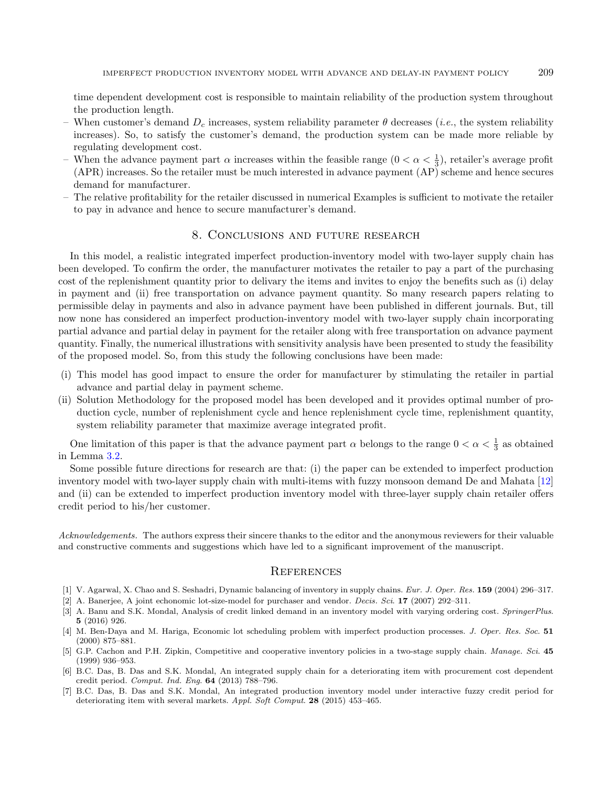time dependent development cost is responsible to maintain reliability of the production system throughout the production length.

- When customer's demand  $D_c$  increases, system reliability parameter  $\theta$  decreases (*i.e.*, the system reliability increases). So, to satisfy the customer's demand, the production system can be made more reliable by regulating development cost.
- When the advance payment part  $\alpha$  increases within the feasible range  $(0 < \alpha < \frac{1}{3})$ , retailer's average profit (APR) increases. So the retailer must be much interested in advance payment (AP) scheme and hence secures demand for manufacturer.
- The relative profitability for the retailer discussed in numerical Examples is sufficient to motivate the retailer to pay in advance and hence to secure manufacturer's demand.

# 8. Conclusions and future research

<span id="page-20-7"></span>In this model, a realistic integrated imperfect production-inventory model with two-layer supply chain has been developed. To confirm the order, the manufacturer motivates the retailer to pay a part of the purchasing cost of the replenishment quantity prior to delivary the items and invites to enjoy the benefits such as (i) delay in payment and (ii) free transportation on advance payment quantity. So many research papers relating to permissible delay in payments and also in advance payment have been published in different journals. But, till now none has considered an imperfect production-inventory model with two-layer supply chain incorporating partial advance and partial delay in payment for the retailer along with free transportation on advance payment quantity. Finally, the numerical illustrations with sensitivity analysis have been presented to study the feasibility of the proposed model. So, from this study the following conclusions have been made:

- (i) This model has good impact to ensure the order for manufacturer by stimulating the retailer in partial advance and partial delay in payment scheme.
- (ii) Solution Methodology for the proposed model has been developed and it provides optimal number of production cycle, number of replenishment cycle and hence replenishment cycle time, replenishment quantity, system reliability parameter that maximize average integrated profit.

<span id="page-20-2"></span><span id="page-20-1"></span>One limitation of this paper is that the advance payment part  $\alpha$  belongs to the range  $0 < \alpha < \frac{1}{3}$  as obtained in Lemma [3.2.](#page-7-1)

<span id="page-20-6"></span><span id="page-20-4"></span>Some possible future directions for research are that: (i) the paper can be extended to imperfect production inventory model with two-layer supply chain with multi-items with fuzzy monsoon demand De and Mahata [\[12\]](#page-21-31) and (ii) can be extended to imperfect production inventory model with three-layer supply chain retailer offers credit period to his/her customer.

<span id="page-20-5"></span><span id="page-20-3"></span><span id="page-20-0"></span>Acknowledgements. The authors express their sincere thanks to the editor and the anonymous reviewers for their valuable and constructive comments and suggestions which have led to a significant improvement of the manuscript.

#### **REFERENCES**

- [1] V. Agarwal, X. Chao and S. Seshadri, Dynamic balancing of inventory in supply chains. Eur. J. Oper. Res. 159 (2004) 296–317.
- [2] A. Banerjee, A joint echonomic lot-size-model for purchaser and vendor. Decis. Sci. 17 (2007) 292–311.
- [3] A. Banu and S.K. Mondal, Analysis of credit linked demand in an inventory model with varying ordering cost. SpringerPlus. 5 (2016) 926.
- [4] M. Ben-Daya and M. Hariga, Economic lot scheduling problem with imperfect production processes. J. Oper. Res. Soc. 51 (2000) 875–881.
- [5] G.P. Cachon and P.H. Zipkin, Competitive and cooperative inventory policies in a two-stage supply chain. Manage. Sci. 45 (1999) 936–953.
- [6] B.C. Das, B. Das and S.K. Mondal, An integrated supply chain for a deteriorating item with procurement cost dependent credit period. Comput. Ind. Eng. 64 (2013) 788–796.
- [7] B.C. Das, B. Das and S.K. Mondal, An integrated production inventory model under interactive fuzzy credit period for deteriorating item with several markets. Appl. Soft Comput. 28 (2015) 453–465.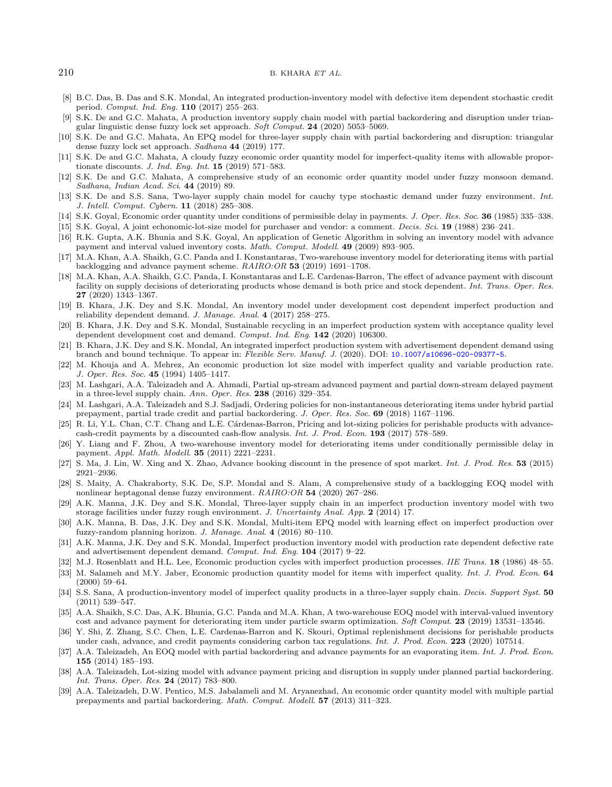#### <span id="page-21-31"></span><span id="page-21-21"></span><span id="page-21-19"></span><span id="page-21-6"></span><span id="page-21-5"></span><span id="page-21-4"></span><span id="page-21-3"></span><span id="page-21-1"></span> $210$  B. KHARA ET AL.

- <span id="page-21-24"></span>[8] B.C. Das, B. Das and S.K. Mondal, An integrated production-inventory model with defective item dependent stochastic credit period. Comput. Ind. Eng. 110 (2017) 255–263.
- <span id="page-21-10"></span>[9] S.K. De and G.C. Mahata, A production inventory supply chain model with partial backordering and disruption under triangular linguistic dense fuzzy lock set approach. Soft Comput. 24 (2020) 5053–5069.
- <span id="page-21-30"></span>[10] S.K. De and G.C. Mahata, An EPQ model for three-layer supply chain with partial backordering and disruption: triangular dense fuzzy lock set approach. Sadhana 44 (2019) 177.
- <span id="page-21-14"></span>[11] S.K. De and G.C. Mahata, A cloudy fuzzy economic order quantity model for imperfect-quality items with allowable proportionate discounts. J. Ind. Eng. Int. 15 (2019) 571–583.
- <span id="page-21-20"></span>[12] S.K. De and G.C. Mahata, A comprehensive study of an economic order quantity model under fuzzy monsoon demand. Sadhana, Indian Acad. Sci. 44 (2019) 89.
- <span id="page-21-23"></span>[13] S.K. De and S.S. Sana, Two-layer supply chain model for cauchy type stochastic demand under fuzzy environment. Int. J. Intell. Comput. Cybern. 11 (2018) 285–308.
- <span id="page-21-15"></span>[14] S.K. Goyal, Economic order quantity under conditions of permissible delay in payments. J. Oper. Res. Soc. 36 (1985) 335–338.
- [15] S.K. Goyal, A joint echonomic-lot-size model for purchaser and vendor: a comment. Decis. Sci. 19 (1988) 236–241.
- <span id="page-21-27"></span>[16] R.K. Gupta, A.K. Bhunia and S.K. Goyal, An application of Genetic Algorithm in solving an inventory model with advance payment and interval valued inventory costs. Math. Comput. Modell. 49 (2009) 893–905.
- <span id="page-21-9"></span>[17] M.A. Khan, A.A. Shaikh, G.C. Panda and I. Konstantaras, Two-warehouse inventory model for deteriorating items with partial backlogging and advance payment scheme. RAIRO:OR 53 (2019) 1691–1708.
- <span id="page-21-28"></span>[18] M.A. Khan, A.A. Shaikh, G.C. Panda, I. Konstantaras and L.E. Cardenas-Barron, The effect of advance payment with discount facility on supply decisions of deteriorating products whose demand is both price and stock dependent. Int. Trans. Oper. Res. 27 (2020) 1343–1367.
- <span id="page-21-22"></span>[19] B. Khara, J.K. Dey and S.K. Mondal, An inventory model under development cost dependent imperfect production and reliability dependent demand. J. Manage. Anal. 4 (2017) 258–275.
- <span id="page-21-8"></span>[20] B. Khara, J.K. Dey and S.K. Mondal, Sustainable recycling in an imperfect production system with acceptance quality level dependent development cost and demand. Comput. Ind. Eng. 142 (2020) 106300.
- <span id="page-21-13"></span>[21] B. Khara, J.K. Dey and S.K. Mondal, An integrated imperfect production system with advertisement dependent demand using branch and bound technique. To appear in: Flexible Serv. Manuf. J. (2020). DOI: [10.1007/s10696-020-09377-5](https://doi.org/10.1007/s10696-020-09377-5).
- <span id="page-21-0"></span>[22] M. Khouja and A. Mehrez, An economic production lot size model with imperfect quality and variable production rate. J. Oper. Res. Soc. 45 (1994) 1405–1417.
- <span id="page-21-17"></span>[23] M. Lashgari, A.A. Taleizadeh and A. Ahmadi, Partial up-stream advanced payment and partial down-stream delayed payment in a three-level supply chain. Ann. Oper. Res. 238 (2016) 329–354.
- <span id="page-21-18"></span>[24] M. Lashgari, A.A. Taleizadeh and S.J. Sadjadi, Ordering policies for non-instantaneous deteriorating items under hybrid partial prepayment, partial trade credit and partial backordering. J. Oper. Res. Soc. 69 (2018) 1167–1196.
- <span id="page-21-16"></span><span id="page-21-12"></span>[25] R. Li, Y.L. Chan, C.T. Chang and L.E. Cárdenas-Barron, Pricing and lot-sizing policies for perishable products with advancecash-credit payments by a discounted cash-flow analysis. Int. J. Prod. Econ. 193 (2017) 578–589.
- <span id="page-21-2"></span>[26] Y. Liang and F. Zhou, A two-warehouse inventory model for deteriorating items under conditionally permissible delay in payment. Appl. Math. Modell. 35 (2011) 2221–2231.
- <span id="page-21-11"></span>[27] S. Ma, J. Lin, W. Xing and X. Zhao, Advance booking discount in the presence of spot market. Int. J. Prod. Res. 53 (2015) 2921–2936.
- <span id="page-21-29"></span>[28] S. Maity, A. Chakraborty, S.K. De, S.P. Mondal and S. Alam, A comprehensive study of a backlogging EOQ model with nonlinear heptagonal dense fuzzy environment. RAIRO:OR 54 (2020) 267–286.
- <span id="page-21-25"></span>[29] A.K. Manna, J.K. Dey and S.K. Mondal, Three-layer supply chain in an imperfect production inventory model with two storage facilities under fuzzy rough environment. J. Uncertainty Anal. App. 2 (2014) 17.
- <span id="page-21-26"></span>[30] A.K. Manna, B. Das, J.K. Dey and S.K. Mondal, Multi-item EPQ model with learning effect on imperfect production over fuzzy-random planning horizon. J. Manage. Anal. 4 (2016) 80–110.
- <span id="page-21-7"></span>[31] A.K. Manna, J.K. Dey and S.K. Mondal, Imperfect production inventory model with production rate dependent defective rate and advertisement dependent demand. Comput. Ind. Eng. 104 (2017) 9–22.
- [32] M.J. Rosenblatt and H.L. Lee, Economic production cycles with imperfect production processes. IIE Trans. 18 (1986) 48–55.
- [33] M. Salameh and M.Y. Jaber, Economic production quantity model for items with imperfect quality. Int. J. Prod. Econ. 64 (2000) 59–64.
- [34] S.S. Sana, A production-inventory model of imperfect quality products in a three-layer supply chain. Decis. Support Syst. 50 (2011) 539–547.
- [35] A.A. Shaikh, S.C. Das, A.K. Bhunia, G.C. Panda and M.A. Khan, A two-warehouse EOQ model with interval-valued inventory cost and advance payment for deteriorating item under particle swarm optimization. Soft Comput. 23 (2019) 13531–13546.
- [36] Y. Shi, Z. Zhang, S.C. Chen, L.E. Cardenas-Barron and K. Skouri, Optimal replenishment decisions for perishable products under cash, advance, and credit payments considering carbon tax regulations. Int. J. Prod. Econ. 223 (2020) 107514.
- [37] A.A. Taleizadeh, An EOQ model with partial backordering and advance payments for an evaporating item. Int. J. Prod. Econ. 155 (2014) 185–193.
- [38] A.A. Taleizadeh, Lot-sizing model with advance payment pricing and disruption in supply under planned partial backordering. Int. Trans. Oper. Res. 24 (2017) 783–800.
- [39] A.A. Taleizadeh, D.W. Pentico, M.S. Jabalameli and M. Aryanezhad, An economic order quantity model with multiple partial prepayments and partial backordering. Math. Comput. Modell. 57 (2013) 311–323.